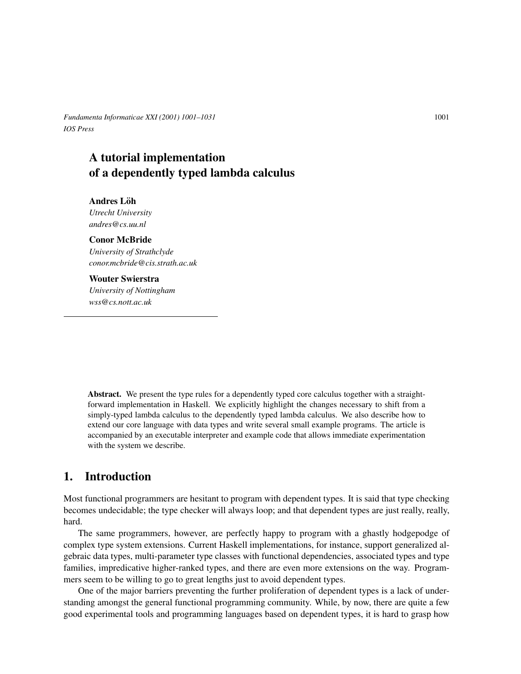*Fundamenta Informaticae XXI (2001) 1001–1031* 1001 *IOS Press*

# A tutorial implementation of a dependently typed lambda calculus

Andres Löh *Utrecht University andres@cs.uu.nl*

#### Conor McBride

*University of Strathclyde conor.mcbride@cis.strath.ac.uk*

#### Wouter Swierstra

*University of Nottingham wss@cs.nott.ac.uk*

Abstract. We present the type rules for a dependently typed core calculus together with a straightforward implementation in Haskell. We explicitly highlight the changes necessary to shift from a simply-typed lambda calculus to the dependently typed lambda calculus. We also describe how to extend our core language with data types and write several small example programs. The article is accompanied by an executable interpreter and example code that allows immediate experimentation with the system we describe.

# 1. Introduction

Most functional programmers are hesitant to program with dependent types. It is said that type checking becomes undecidable; the type checker will always loop; and that dependent types are just really, really, hard.

The same programmers, however, are perfectly happy to program with a ghastly hodgepodge of complex type system extensions. Current Haskell implementations, for instance, support generalized algebraic data types, multi-parameter type classes with functional dependencies, associated types and type families, impredicative higher-ranked types, and there are even more extensions on the way. Programmers seem to be willing to go to great lengths just to avoid dependent types.

One of the major barriers preventing the further proliferation of dependent types is a lack of understanding amongst the general functional programming community. While, by now, there are quite a few good experimental tools and programming languages based on dependent types, it is hard to grasp how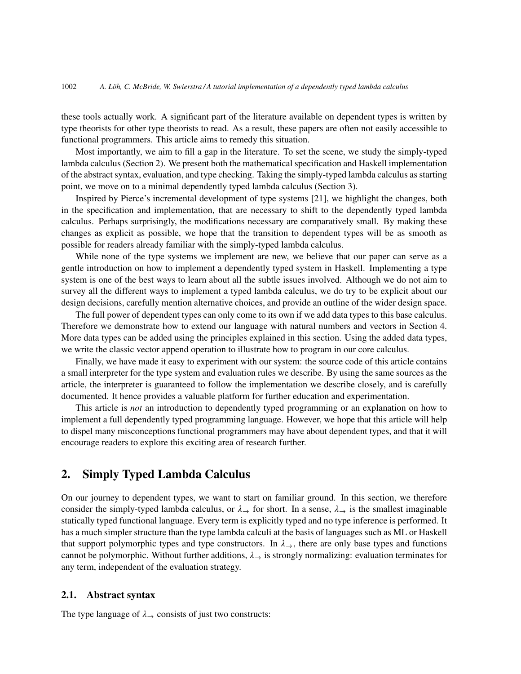these tools actually work. A significant part of the literature available on dependent types is written by type theorists for other type theorists to read. As a result, these papers are often not easily accessible to functional programmers. This article aims to remedy this situation.

Most importantly, we aim to fill a gap in the literature. To set the scene, we study the simply-typed lambda calculus (Section 2). We present both the mathematical specification and Haskell implementation of the abstract syntax, evaluation, and type checking. Taking the simply-typed lambda calculus as starting point, we move on to a minimal dependently typed lambda calculus (Section 3).

Inspired by Pierce's incremental development of type systems [21], we highlight the changes, both in the specification and implementation, that are necessary to shift to the dependently typed lambda calculus. Perhaps surprisingly, the modifications necessary are comparatively small. By making these changes as explicit as possible, we hope that the transition to dependent types will be as smooth as possible for readers already familiar with the simply-typed lambda calculus.

While none of the type systems we implement are new, we believe that our paper can serve as a gentle introduction on how to implement a dependently typed system in Haskell. Implementing a type system is one of the best ways to learn about all the subtle issues involved. Although we do not aim to survey all the different ways to implement a typed lambda calculus, we do try to be explicit about our design decisions, carefully mention alternative choices, and provide an outline of the wider design space.

The full power of dependent types can only come to its own if we add data types to this base calculus. Therefore we demonstrate how to extend our language with natural numbers and vectors in Section 4. More data types can be added using the principles explained in this section. Using the added data types, we write the classic vector append operation to illustrate how to program in our core calculus.

Finally, we have made it easy to experiment with our system: the source code of this article contains a small interpreter for the type system and evaluation rules we describe. By using the same sources as the article, the interpreter is guaranteed to follow the implementation we describe closely, and is carefully documented. It hence provides a valuable platform for further education and experimentation.

This article is *not* an introduction to dependently typed programming or an explanation on how to implement a full dependently typed programming language. However, we hope that this article will help to dispel many misconceptions functional programmers may have about dependent types, and that it will encourage readers to explore this exciting area of research further.

# 2. Simply Typed Lambda Calculus

On our journey to dependent types, we want to start on familiar ground. In this section, we therefore consider the simply-typed lambda calculus, or  $\lambda \rightarrow$  for short. In a sense,  $\lambda \rightarrow$  is the smallest imaginable statically typed functional language. Every term is explicitly typed and no type inference is performed. It has a much simpler structure than the type lambda calculi at the basis of languages such as ML or Haskell that support polymorphic types and type constructors. In  $\lambda \rightarrow$ , there are only base types and functions cannot be polymorphic. Without further additions,  $\lambda_{\rightarrow}$  is strongly normalizing: evaluation terminates for any term, independent of the evaluation strategy.

#### 2.1. Abstract syntax

The type language of  $\lambda_{\rightarrow}$  consists of just two constructs: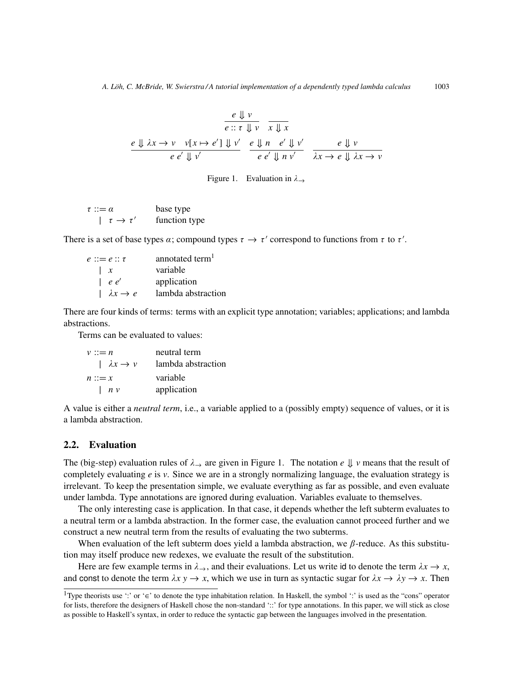$$
\frac{e \Downarrow v}{e :: \tau \Downarrow v} \frac{e \Downarrow v}{x \Downarrow x}
$$
\n
$$
\frac{e \Downarrow \lambda x \rightarrow v \quad v[x \mapsto e'] \Downarrow v'}{e e' \Downarrow v'} \frac{e \Downarrow n \quad e' \Downarrow v'}{e e' \Downarrow n \quad v'} \frac{e \Downarrow v}{\lambda x \rightarrow e \Downarrow \lambda x \rightarrow v}
$$

Figure 1. Evaluation in  $\lambda \rightarrow$ 

 $\tau ::= \alpha$  base type  $\left| \tau \rightarrow \tau' \right|$  function type

There is a set of base types  $\alpha$ ; compound types  $\tau \to \tau'$  correspond to functions from  $\tau$  to  $\tau'$ .

| $e ::= e :: \tau$                | annotated term <sup>1</sup> |
|----------------------------------|-----------------------------|
| $\perp x$                        | variable                    |
| $\begin{array}{c} e \end{array}$ | application                 |
| $\lambda x \rightarrow e$        | lambda abstraction          |

There are four kinds of terms: terms with an explicit type annotation; variables; applications; and lambda abstractions.

Terms can be evaluated to values:

| $v ::= n$                 | neutral term       |
|---------------------------|--------------------|
| $\lambda x \rightarrow v$ | lambda abstraction |
| $n ::= x$                 | variable           |
| $\left  n v \right $      | application        |

A value is either a *neutral term*, i.e., a variable applied to a (possibly empty) sequence of values, or it is a lambda abstraction.

## 2.2. Evaluation

The (big-step) evaluation rules of  $\lambda_{\rightarrow}$  are given in Figure 1. The notation *e*  $\parallel$  *v* means that the result of completely evaluating *e* is *v*. Since we are in a strongly normalizing language, the evaluation strategy is irrelevant. To keep the presentation simple, we evaluate everything as far as possible, and even evaluate under lambda. Type annotations are ignored during evaluation. Variables evaluate to themselves.

The only interesting case is application. In that case, it depends whether the left subterm evaluates to a neutral term or a lambda abstraction. In the former case, the evaluation cannot proceed further and we construct a new neutral term from the results of evaluating the two subterms.

When evaluation of the left subterm does yield a lambda abstraction, we  $\beta$ -reduce. As this substitution may itself produce new redexes, we evaluate the result of the substitution.

Here are few example terms in  $\lambda \rightarrow$ , and their evaluations. Let us write id to denote the term  $\lambda x \rightarrow x$ , and const to denote the term  $\lambda x y \to x$ , which we use in turn as syntactic sugar for  $\lambda x \to \lambda y \to x$ . Then

<sup>&</sup>lt;sup>1</sup>Type theorists use ':' or '∈' to denote the type inhabitation relation. In Haskell, the symbol ':' is used as the "cons" operator for lists, therefore the designers of Haskell chose the non-standard '::' for type annotations. In this paper, we will stick as close as possible to Haskell's syntax, in order to reduce the syntactic gap between the languages involved in the presentation.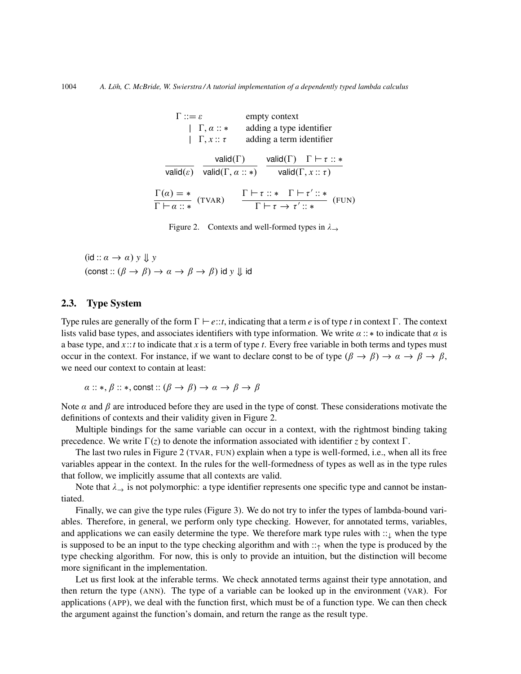| $\Gamma ::= \varepsilon$                                      | $ \Gamma, \alpha :: *$<br>$ \Gamma, x :: \tau$                             | empty context<br>adding a type identifier<br>adding a term identifier |                                                                                              |                              |  |       |
|---------------------------------------------------------------|----------------------------------------------------------------------------|-----------------------------------------------------------------------|----------------------------------------------------------------------------------------------|------------------------------|--|-------|
|                                                               | valid( $\Gamma$ )<br>valid( $\varepsilon$ ) valid( $\Gamma, \alpha :: *$ ) |                                                                       | valid( $\Gamma$ ) $\Gamma \vdash \tau :: *$                                                  | valid( $\Gamma, x :: \tau$ ) |  |       |
| $\frac{\Gamma(\alpha) = *}{\Gamma \vdash \alpha :: *}$ (TVAR) |                                                                            |                                                                       | $\frac{\Gamma\vdash\tau::* \quad \Gamma\vdash\tau'::*}{\Gamma\vdash\tau\rightarrow\tau'::*}$ |                              |  | (FUN) |

Figure 2. Contexts and well-formed types in  $\lambda \rightarrow$ 

 $(id :: \alpha \rightarrow \alpha) y \Downarrow y$  $(\text{const} :: (\beta \rightarrow \beta) \rightarrow \alpha \rightarrow \beta \rightarrow \beta)$  id *y*  $\downarrow \downarrow$  id

## 2.3. Type System

Type rules are generally of the form  $\Gamma \vdash e::t$ , indicating that a term *e* is of type *t* in context  $\Gamma$ . The context lists valid base types, and associates identifiers with type information. We write  $\alpha$  :: \* to indicate that  $\alpha$  is a base type, and *x*::*t* to indicate that *x* is a term of type *t*. Every free variable in both terms and types must occur in the context. For instance, if we want to declare const to be of type  $(\beta \to \beta) \to \alpha \to \beta \to \beta$ , we need our context to contain at least:

$$
\alpha :: *, \beta :: *, \text{const} :: (\beta \to \beta) \to \alpha \to \beta \to \beta
$$

Note  $\alpha$  and  $\beta$  are introduced before they are used in the type of const. These considerations motivate the definitions of contexts and their validity given in Figure 2.

Multiple bindings for the same variable can occur in a context, with the rightmost binding taking precedence. We write  $\Gamma(z)$  to denote the information associated with identifier *z* by context  $\Gamma$ .

The last two rules in Figure 2 (TVAR, FUN) explain when a type is well-formed, i.e., when all its free variables appear in the context. In the rules for the well-formedness of types as well as in the type rules that follow, we implicitly assume that all contexts are valid.

Note that  $\lambda_{\rightarrow}$  is not polymorphic: a type identifier represents one specific type and cannot be instantiated.

Finally, we can give the type rules (Figure 3). We do not try to infer the types of lambda-bound variables. Therefore, in general, we perform only type checking. However, for annotated terms, variables, and applications we can easily determine the type. We therefore mark type rules with ::↓ when the type is supposed to be an input to the type checking algorithm and with  $:: \uparrow$  when the type is produced by the type checking algorithm. For now, this is only to provide an intuition, but the distinction will become more significant in the implementation.

Let us first look at the inferable terms. We check annotated terms against their type annotation, and then return the type (ANN). The type of a variable can be looked up in the environment (VAR). For applications (APP), we deal with the function first, which must be of a function type. We can then check the argument against the function's domain, and return the range as the result type.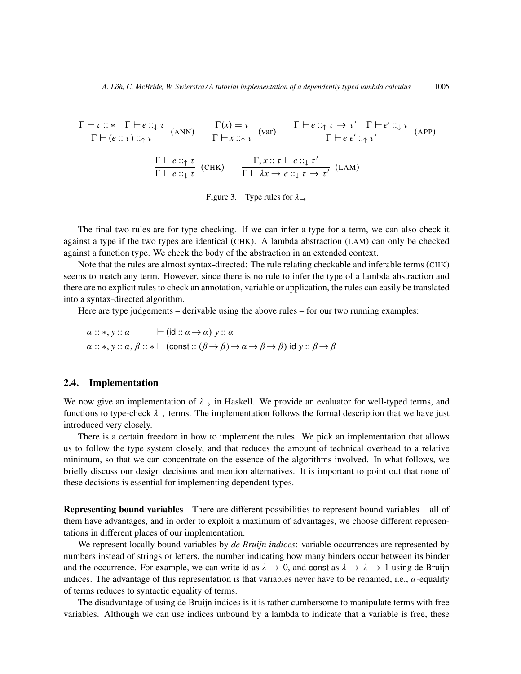$$
\frac{\Gamma \vdash \tau :: * \Gamma \vdash e :: \downarrow \tau}{\Gamma \vdash (e :: \tau) :: \uparrow \tau} \quad \text{(ANN)} \qquad \frac{\Gamma(x) = \tau}{\Gamma \vdash x :: \uparrow \tau} \quad \text{(var)} \qquad \frac{\Gamma \vdash e :: \uparrow \tau \to \tau' \quad \Gamma \vdash e' :: \downarrow \tau}{\Gamma \vdash e e' :: \uparrow \tau'} \quad \text{(APP)}
$$
\n
$$
\frac{\Gamma \vdash e :: \uparrow \tau}{\Gamma \vdash e :: \downarrow \tau} \quad \text{(CHK)} \qquad \frac{\Gamma, x :: \tau \vdash e :: \downarrow \tau'}{\Gamma \vdash \lambda x \to e :: \downarrow \tau \to \tau'} \quad \text{(LAM)}
$$

Figure 3. Type rules for  $\lambda \rightarrow$ 

The final two rules are for type checking. If we can infer a type for a term, we can also check it against a type if the two types are identical (CHK). A lambda abstraction (LAM) can only be checked against a function type. We check the body of the abstraction in an extended context.

Note that the rules are almost syntax-directed: The rule relating checkable and inferable terms (CHK) seems to match any term. However, since there is no rule to infer the type of a lambda abstraction and there are no explicit rules to check an annotation, variable or application, the rules can easily be translated into a syntax-directed algorithm.

Here are type judgements – derivable using the above rules – for our two running examples:

$$
\alpha :: *, y :: \alpha \qquad \vdash (id :: \alpha \rightarrow \alpha) y :: \alpha
$$
  

$$
\alpha :: *, y :: \alpha, \beta :: * \vdash (const :: (\beta \rightarrow \beta) \rightarrow \alpha \rightarrow \beta \rightarrow \beta) id y :: \beta \rightarrow \beta
$$

#### 2.4. Implementation

We now give an implementation of  $\lambda_{\rightarrow}$  in Haskell. We provide an evaluator for well-typed terms, and functions to type-check  $\lambda_{\rightarrow}$  terms. The implementation follows the formal description that we have just introduced very closely.

There is a certain freedom in how to implement the rules. We pick an implementation that allows us to follow the type system closely, and that reduces the amount of technical overhead to a relative minimum, so that we can concentrate on the essence of the algorithms involved. In what follows, we briefly discuss our design decisions and mention alternatives. It is important to point out that none of these decisions is essential for implementing dependent types.

Representing bound variables There are different possibilities to represent bound variables – all of them have advantages, and in order to exploit a maximum of advantages, we choose different representations in different places of our implementation.

We represent locally bound variables by *de Bruijn indices*: variable occurrences are represented by numbers instead of strings or letters, the number indicating how many binders occur between its binder and the occurrence. For example, we can write id as  $\lambda \to 0$ , and const as  $\lambda \to \lambda \to 1$  using de Bruijn indices. The advantage of this representation is that variables never have to be renamed, i.e.,  $\alpha$ -equality of terms reduces to syntactic equality of terms.

The disadvantage of using de Bruijn indices is it is rather cumbersome to manipulate terms with free variables. Although we can use indices unbound by a lambda to indicate that a variable is free, these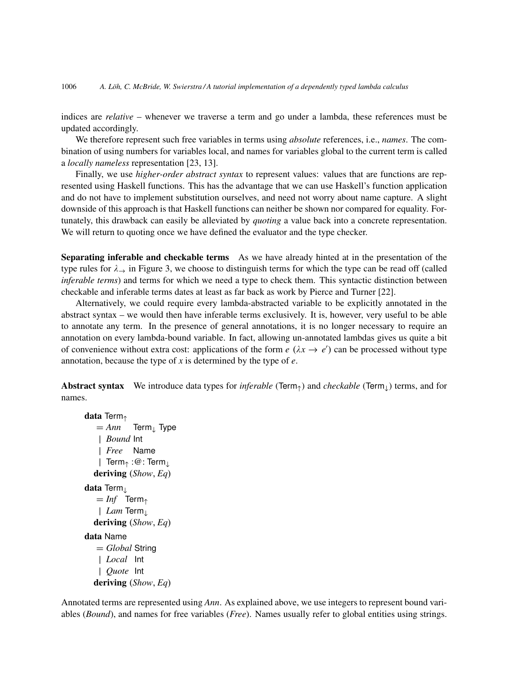indices are *relative* – whenever we traverse a term and go under a lambda, these references must be updated accordingly.

We therefore represent such free variables in terms using *absolute* references, i.e., *names*. The combination of using numbers for variables local, and names for variables global to the current term is called a *locally nameless* representation [23, 13].

Finally, we use *higher-order abstract syntax* to represent values: values that are functions are represented using Haskell functions. This has the advantage that we can use Haskell's function application and do not have to implement substitution ourselves, and need not worry about name capture. A slight downside of this approach is that Haskell functions can neither be shown nor compared for equality. Fortunately, this drawback can easily be alleviated by *quoting* a value back into a concrete representation. We will return to quoting once we have defined the evaluator and the type checker.

Separating inferable and checkable terms As we have already hinted at in the presentation of the type rules for  $\lambda_{\rightarrow}$  in Figure 3, we choose to distinguish terms for which the type can be read off (called *inferable terms*) and terms for which we need a type to check them. This syntactic distinction between checkable and inferable terms dates at least as far back as work by Pierce and Turner [22].

Alternatively, we could require every lambda-abstracted variable to be explicitly annotated in the abstract syntax – we would then have inferable terms exclusively. It is, however, very useful to be able to annotate any term. In the presence of general annotations, it is no longer necessary to require an annotation on every lambda-bound variable. In fact, allowing un-annotated lambdas gives us quite a bit of convenience without extra cost: applications of the form  $e(\lambda x \rightarrow e')$  can be processed without type annotation, because the type of *x* is determined by the type of *e*.

Abstract syntax We introduce data types for *inferable* (Term↑) and *checkable* (Term↓) terms, and for names.

```
data Term↑
   = Ann Term<sub>⊥</sub> Type
   | Bound Int
   | Free Name
   | Term↑ :@: Term↓
  deriving (Show, Eq)
data Term⊥
   = Inf Term<sub>↑</sub>
   | Lam Term↓
  deriving (Show, Eq)
data Name
   = Global String
   | Local Int
   | Quote Int
  deriving (Show, Eq)
```
Annotated terms are represented using *Ann*. As explained above, we use integers to represent bound variables (*Bound*), and names for free variables (*Free*). Names usually refer to global entities using strings.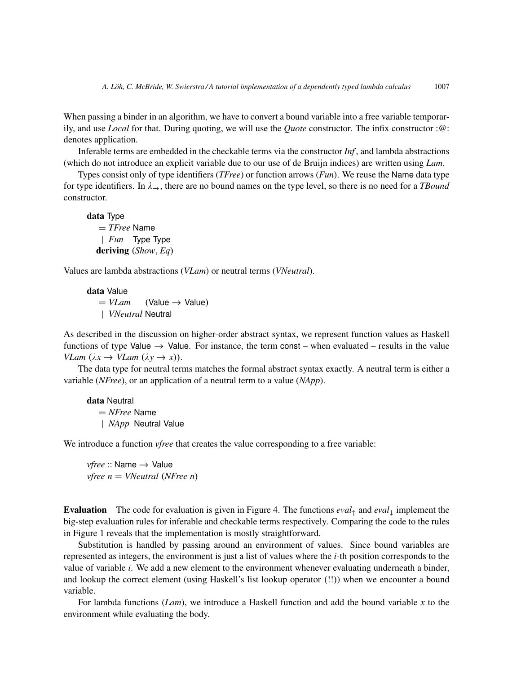When passing a binder in an algorithm, we have to convert a bound variable into a free variable temporarily, and use *Local* for that. During quoting, we will use the *Quote* constructor. The infix constructor :@: denotes application.

Inferable terms are embedded in the checkable terms via the constructor *Inf* , and lambda abstractions (which do not introduce an explicit variable due to our use of de Bruijn indices) are written using *Lam*.

Types consist only of type identifiers (*TFree*) or function arrows (*Fun*). We reuse the Name data type for type identifiers. In  $\lambda_{\rightarrow}$ , there are no bound names on the type level, so there is no need for a *TBound* constructor.

data Type = *TFree* Name | *Fun* Type Type deriving (*Show*, *Eq*)

Values are lambda abstractions (*VLam*) or neutral terms (*VNeutral*).

data Value  $= VLam$  (Value  $\rightarrow$  Value) | *VNeutral* Neutral

As described in the discussion on higher-order abstract syntax, we represent function values as Haskell functions of type Value  $\rightarrow$  Value. For instance, the term const – when evaluated – results in the value *VLam*  $(\lambda x \rightarrow \text{VLam } (\lambda y \rightarrow x))$ .

The data type for neutral terms matches the formal abstract syntax exactly. A neutral term is either a variable (*NFree*), or an application of a neutral term to a value (*NApp*).

data Neutral = *NFree* Name | *NApp* Neutral Value

We introduce a function *vfree* that creates the value corresponding to a free variable:

*vfree* :: Name → Value *vfree n* = *VNeutral* (*NFree n*)

Evaluation The code for evaluation is given in Figure 4. The functions *eval*<sup>↑</sup> and *eval*<sup>↓</sup> implement the big-step evaluation rules for inferable and checkable terms respectively. Comparing the code to the rules in Figure 1 reveals that the implementation is mostly straightforward.

Substitution is handled by passing around an environment of values. Since bound variables are represented as integers, the environment is just a list of values where the *i*-th position corresponds to the value of variable *i*. We add a new element to the environment whenever evaluating underneath a binder, and lookup the correct element (using Haskell's list lookup operator (!!)) when we encounter a bound variable.

For lambda functions (*Lam*), we introduce a Haskell function and add the bound variable *x* to the environment while evaluating the body.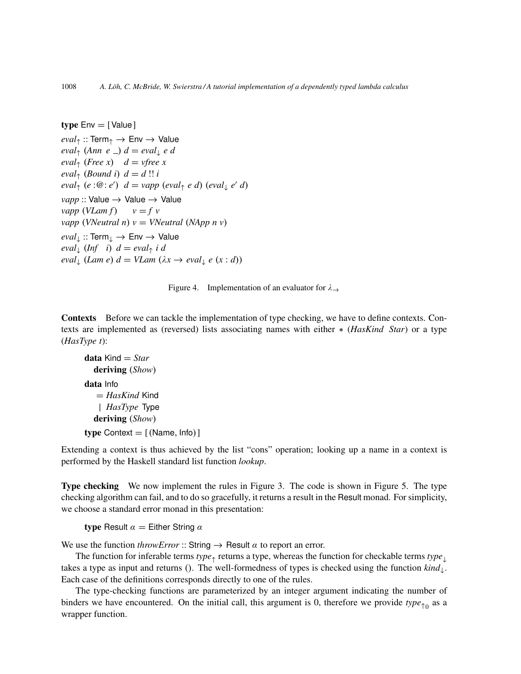```
type Env = [Value]eval_{\uparrow} :: Term_{\uparrow} \rightarrow Env \rightarrow Value
eval_{\uparrow} (Ann e _) d = eval_{\downarrow} e deval_{\uparrow} (Free x) d = \text{vfree } xeval<sub>\uparrow</sub> (Bound i) d = d !! i
eval_{\uparrow}(e:\mathcal{Q}:e') d = vapp\ (eval_{\uparrow}e d)\ (eval_{\downarrow}e' d)vapp :: Value → Value → Value
vapp (VLam f) v = f vvapp (VNeutral n) v = VNeutral (NApp n v)
eval↓ :: Term↓ → Env → Value
eval_{\downarrow} (Inf i) d = eval_{\uparrow} i d
eval_{\downarrow}(Lam e) d = VLam (\lambda x \rightarrow eval_{\downarrow} e (x:d))
```


Contexts Before we can tackle the implementation of type checking, we have to define contexts. Contexts are implemented as (reversed) lists associating names with either ∗ (*HasKind Star*) or a type (*HasType t*):

```
data Kind = Star
  deriving (Show)
data Info
   = HasKind Kind
   | HasType Type
  deriving (Show)
type Context = [(Name, Info)]
```
Extending a context is thus achieved by the list "cons" operation; looking up a name in a context is performed by the Haskell standard list function *lookup*.

Type checking We now implement the rules in Figure 3. The code is shown in Figure 5. The type checking algorithm can fail, and to do so gracefully, it returns a result in the Result monad. For simplicity, we choose a standard error monad in this presentation:

type Result  $\alpha =$  Either String  $\alpha$ 

We use the function *throwError* :: String  $\rightarrow$  Result  $\alpha$  to report an error.

The function for inferable terms *type*<sub>↑</sub> returns a type, whereas the function for checkable terms *type*<sub>⊥</sub> takes a type as input and returns (). The well-formedness of types is checked using the function *kind*↓. Each case of the definitions corresponds directly to one of the rules.

The type-checking functions are parameterized by an integer argument indicating the number of binders we have encountered. On the initial call, this argument is 0, therefore we provide  $type_{\uparrow 0}$  as a wrapper function.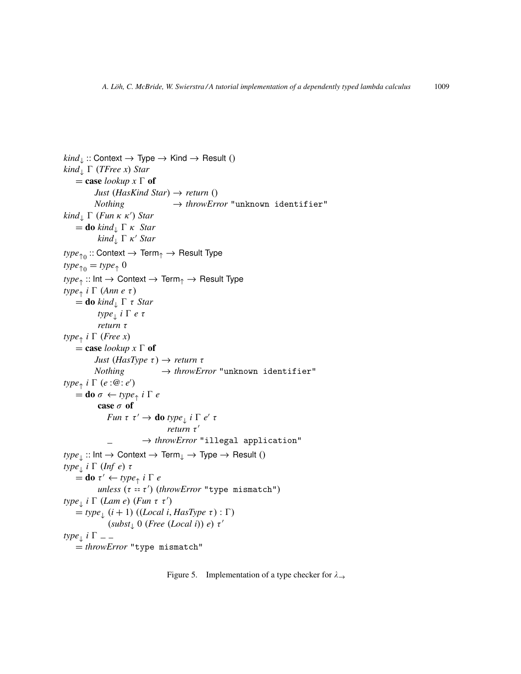```
\text{kind}_{\downarrow} :: Context \rightarrow Type \rightarrow Kind \rightarrow Result ()
kind_{\perp} \Gamma (TFree x) Star
     = case lookup x \Gamma of
            Just (HasKind Star) → return ()
            Nothing \rightarrow throwError "unknown identifier"
\text{kind}_{\downarrow} \Gamma (Fun \kappa \kappa') Star
     = do kind<sub>\downarrow</sub> \Gamma κ Star
             kind<sub>\downarrow</sub> \Gamma κ' Star
\mathit{type}_{\uparrow 0}:: Context \rightarrow Term_{\uparrow}\rightarrow Result Type
type_{\uparrow 0} = type_{\uparrow} 0type<sub>↑</sub> :: Int → Context → Term<sub>↑</sub> → Result Type
type_{\uparrow} i \Gamma (Ann e \tau)
     = do kind<sub>\downarrow</sub> \Gamma \tau Star
              type↓
i 0 e τ
              return τ
type_{\uparrow} i \Gamma (Free x)
     = case lookup x \Gamma of
            Just (HasType τ) \rightarrow return τNothing \rightarrow throwError "unknown identifier"
type_{\uparrow} i \Gamma (e : \overline{\omega} : e')
     =do \sigma \leftarrow type_{\uparrow} i \Gamma e
              case σ of
                  Fun \tau \tau' \rightarrow do type_{\perp} i \Gamma e' \taureturn τ'
                                → throwError "illegal application"
type_{\perp} :: Int \rightarrow Context \rightarrow Term<sub>↓</sub> \rightarrow Type \rightarrow Result ()
type<sub>↓</sub> i Γ (Inf e) τ
     \vec{a} =do \tau' \leftarrow type_{\uparrow} i \Gamma e
              unless (τ = = τ
0
) (throwError "type mismatch")
type<sub></sub> i Γ (Lam e) (Fun τ τ')
     \stackrel{\sim}{=} type<sub>1</sub> (i + 1) ((Local i, HasType \tau) : \Gamma)
                  (subst<sub>↓</sub> 0 (Free (Local i)) e) τ'type<sub>↓</sub> i Γ
     = throwError "type mismatch"
```
Figure 5. Implementation of a type checker for  $\lambda \rightarrow$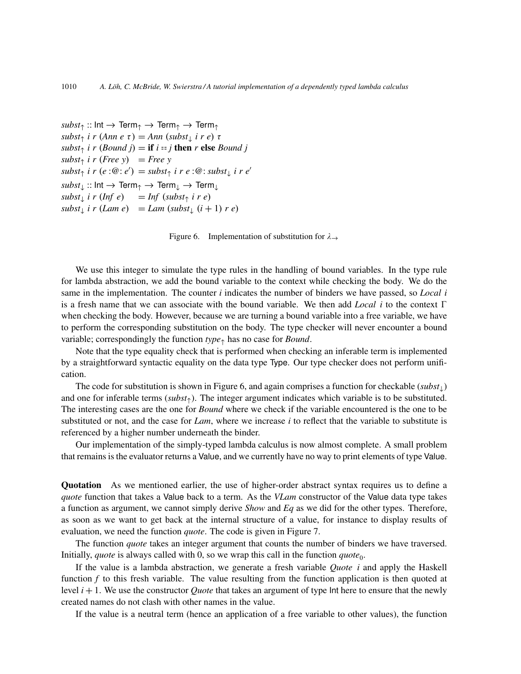$\mathit{subst}_\uparrow$  :: Int  $\rightarrow$  Term<sub>↑</sub>  $\rightarrow$  Term<sub>↑</sub>  $subst_{\uparrow}$  *i r* (*Ann e*  $\tau$ ) = *Ann* (*subst*<sub>↓</sub> *i r e*)  $\tau$  $subst<sub>†</sub>$  *i*  $r$  (*Bound j*) = **if** *i* == *j* **then**  $r$  **else** *Bound j*  $subst<sub>↑</sub>$  *i r* (*Free y*) = *Free y*  $subst_{\uparrow}$  *i*  $r(e:\mathcal{Q}:e') = \textit{subst}_{\uparrow}$  *i*  $r e:\mathcal{Q}: \textit{subst}_{\downarrow}$  *i*  $r e'$  $\mathit{subst}_\downarrow :: \mathsf{Int} \to \mathsf{Term}_\uparrow \to \mathsf{Term}_\downarrow \to \mathsf{Term}_\downarrow$  $\int$ *subst*<sub> $\downarrow$ </sub> *i r* (*Inf e*) = *Inf* (*subst*<sub> $\uparrow$ </sub> *i r e*)  $subst_{\downarrow}$  *i*  $r$  (*Lam e*) = *Lam* ( $subst_{\downarrow}$   $(i + 1)$   $r$  *e*)

Figure 6. Implementation of substitution for  $\lambda \rightarrow$ 

We use this integer to simulate the type rules in the handling of bound variables. In the type rule for lambda abstraction, we add the bound variable to the context while checking the body. We do the same in the implementation. The counter *i* indicates the number of binders we have passed, so *Local i* is a fresh name that we can associate with the bound variable. We then add *Local i* to the context  $\Gamma$ when checking the body. However, because we are turning a bound variable into a free variable, we have to perform the corresponding substitution on the body. The type checker will never encounter a bound variable; correspondingly the function *type*<sup>↑</sup> has no case for *Bound*.

Note that the type equality check that is performed when checking an inferable term is implemented by a straightforward syntactic equality on the data type Type. Our type checker does not perform unification.

The code for substitution is shown in Figure 6, and again comprises a function for checkable (*subst*↓) and one for inferable terms (*subst*↑). The integer argument indicates which variable is to be substituted. The interesting cases are the one for *Bound* where we check if the variable encountered is the one to be substituted or not, and the case for *Lam*, where we increase *i* to reflect that the variable to substitute is referenced by a higher number underneath the binder.

Our implementation of the simply-typed lambda calculus is now almost complete. A small problem that remains is the evaluator returns a Value, and we currently have no way to print elements of type Value.

Quotation As we mentioned earlier, the use of higher-order abstract syntax requires us to define a *quote* function that takes a Value back to a term. As the *VLam* constructor of the Value data type takes a function as argument, we cannot simply derive *Show* and *Eq* as we did for the other types. Therefore, as soon as we want to get back at the internal structure of a value, for instance to display results of evaluation, we need the function *quote*. The code is given in Figure 7.

The function *quote* takes an integer argument that counts the number of binders we have traversed. Initially, *quote* is always called with 0, so we wrap this call in the function  $\omega = \omega e_0$ .

If the value is a lambda abstraction, we generate a fresh variable *Quote i* and apply the Haskell function *f* to this fresh variable. The value resulting from the function application is then quoted at level *i* + 1. We use the constructor *Quote* that takes an argument of type Int here to ensure that the newly created names do not clash with other names in the value.

If the value is a neutral term (hence an application of a free variable to other values), the function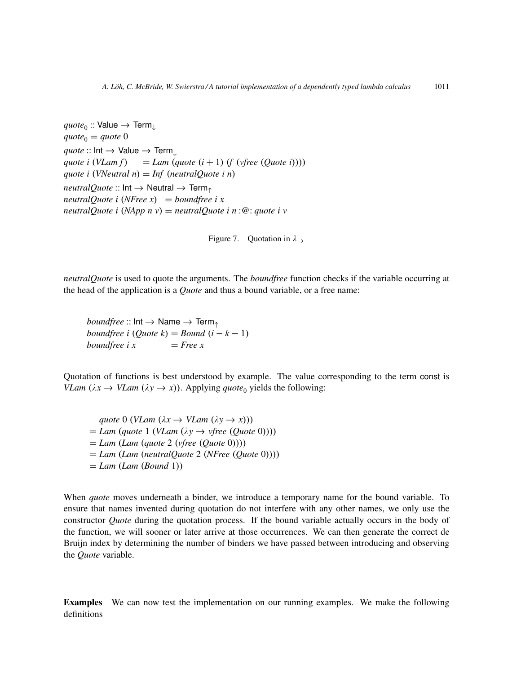```
\mathit{quote}_0 :: Value \rightarrow Term<sub>↓</sub>
\eta u \circ t e_0 = \eta u \circ t e_0\textit{quote} :: \textsf{Int} \rightarrow \textsf{Value} \rightarrow \textsf{Term}_{\perp}quote i (VLam f) = Lam (quote (i + 1) (f (vfree (Quote i))))
quote i (VNeutral n) = Inf (neutralQuote i n)
neutralQuote :: Int → Neutral → Term
neutralQuote i (NFree x) = boundfree i x
neutralQuote i (NApp n v) = neutralQuote i n :@: quote i v
```
Figure 7. Quotation in  $\lambda \rightarrow$ 

*neutralQuote* is used to quote the arguments. The *boundfree* function checks if the variable occurring at the head of the application is a *Quote* and thus a bound variable, or a free name:

*boundfree* :: Int  $\rightarrow$  Name  $\rightarrow$  Term<sub>↑</sub> *boundfree i* (*Quote k*) = *Bound*  $(i - k - 1)$ *boundfree i*  $x = Free x$ 

Quotation of functions is best understood by example. The value corresponding to the term const is *VLam* ( $\lambda x \rightarrow \text{VLam}$  ( $\lambda y \rightarrow x$ )). Applying *quote*<sub>0</sub> yields the following:

*quote* 0 (*VLam* ( $\lambda x \rightarrow \text{VLam}$  ( $\lambda y \rightarrow x$ )))  $= Lam$  (*quote* 1 (*VLam* ( $\lambda y \rightarrow v$ *free* (*Quote* 0)))) = *Lam* (*Lam* (*quote* 2 (*vfree* (*Quote* 0)))) = *Lam* (*Lam* (*neutralQuote* 2 (*NFree* (*Quote* 0)))) = *Lam* (*Lam* (*Bound* 1))

When *quote* moves underneath a binder, we introduce a temporary name for the bound variable. To ensure that names invented during quotation do not interfere with any other names, we only use the constructor *Quote* during the quotation process. If the bound variable actually occurs in the body of the function, we will sooner or later arrive at those occurrences. We can then generate the correct de Bruijn index by determining the number of binders we have passed between introducing and observing the *Quote* variable.

Examples We can now test the implementation on our running examples. We make the following definitions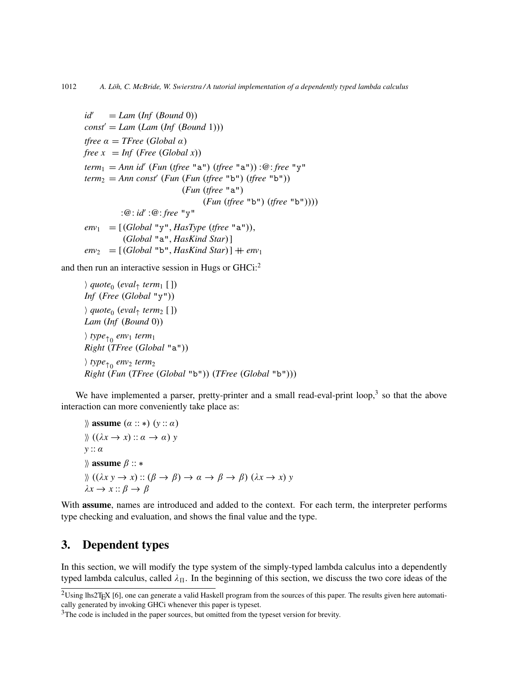```
id' = Lam (Inf (Bound 0))
const' = Lam (Lam (Inf (Bound 1)))
tfree \alpha = TFree (Global \alpha)
free x = Inf (Free (Global x))
term1 = Ann id0
(Fun (tfree "a") (tfree "a")) :@: free "y"
term_2 = Ann const' (Fun (Fun (tfree "b") (tfree "b"))
                         (Fun (tfree "a")
                               (Fun (tfree "b") (tfree "b"))))
          :@: id' :@: free "y"
env_1 = [(Global "y", HasType (three "a"))](Global "a", HasKind Star)]
env_2 = [(Global "b", HasKind Star)] + env_1
```
and then run an interactive session in Hugs or GHCi:<sup>2</sup>

```
i quote0
(eval↑ term1 [ ])
Inf (Free (Global "y"))
i quote0
(eval↑ term2 [ ])
Lam (Inf (Bound 0))
i type↑0
env1 term1
Right (TFree (Global "a"))
i type↑0
env2 term2
Right (Fun (TFree (Global "b")) (TFree (Global "b")))
```
We have implemented a parser, pretty-printer and a small read-eval-print loop, $3$  so that the above interaction can more conveniently take place as:

```
\aleph assume (\alpha :: *) (y :: \alpha)\mathcal{L}((\lambda x \rightarrow x) :: \alpha \rightarrow \alpha) y
y :: α
\aleph assume \beta :: *
\iint (\lambda x y \to x) :: (\beta \to \beta) \to \alpha \to \beta \to \beta) (\lambda x \to x) y\lambda x \rightarrow x :: \beta \rightarrow \beta
```
With assume, names are introduced and added to the context. For each term, the interpreter performs type checking and evaluation, and shows the final value and the type.

# 3. Dependent types

In this section, we will modify the type system of the simply-typed lambda calculus into a dependently typed lambda calculus, called  $\lambda_{\Pi}$ . In the beginning of this section, we discuss the two core ideas of the

 $2$ Using lhs2T<sub>E</sub>X [6], one can generate a valid Haskell program from the sources of this paper. The results given here automatically generated by invoking GHCi whenever this paper is typeset.

<sup>&</sup>lt;sup>3</sup>The code is included in the paper sources, but omitted from the typeset version for brevity.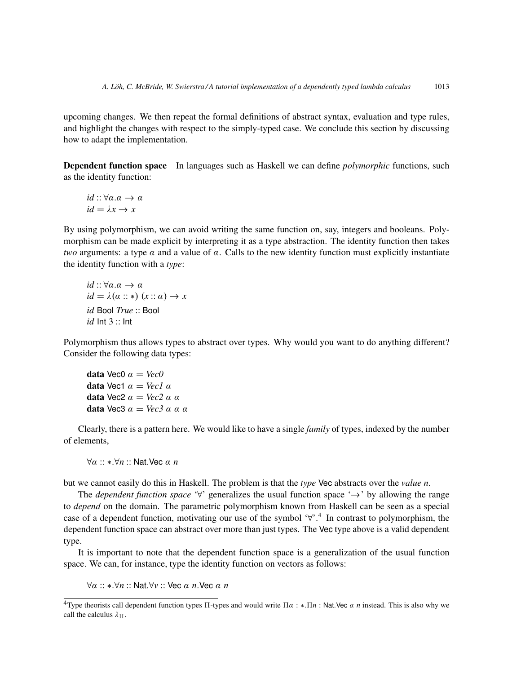upcoming changes. We then repeat the formal definitions of abstract syntax, evaluation and type rules, and highlight the changes with respect to the simply-typed case. We conclude this section by discussing how to adapt the implementation.

Dependent function space In languages such as Haskell we can define *polymorphic* functions, such as the identity function:

$$
id :: \forall \alpha . \alpha \to \alpha
$$
  

$$
id = \lambda x \to x
$$

By using polymorphism, we can avoid writing the same function on, say, integers and booleans. Polymorphism can be made explicit by interpreting it as a type abstraction. The identity function then takes *two* arguments: a type  $\alpha$  and a value of  $\alpha$ . Calls to the new identity function must explicitly instantiate the identity function with a *type*:

$$
id :: \forall \alpha . \alpha \to \alpha
$$
  

$$
id = \lambda(\alpha :: *) \ (x :: \alpha) \to x
$$
  

$$
id \text{Bool True} :: \text{Bool}
$$
  

$$
id \text{ Int } 3 :: \text{Int}
$$

Polymorphism thus allows types to abstract over types. Why would you want to do anything different? Consider the following data types:

data Vec0 
$$
\alpha = Vec0
$$
  
data Vec1  $\alpha = Vec1 \alpha$   
data Vec2  $\alpha = Vec2 \alpha \alpha$   
data Vec3  $\alpha = Vec3 \alpha \alpha \alpha$ 

Clearly, there is a pattern here. We would like to have a single *family* of types, indexed by the number of elements,

∀α :: ∗.∀*n* :: Nat.Vec α *n*

but we cannot easily do this in Haskell. The problem is that the *type* Vec abstracts over the *value n*.

The *dependent function space* '∀' generalizes the usual function space '→' by allowing the range to *depend* on the domain. The parametric polymorphism known from Haskell can be seen as a special case of a dependent function, motivating our use of the symbol '∀'.<sup>4</sup> In contrast to polymorphism, the dependent function space can abstract over more than just types. The Vec type above is a valid dependent type.

It is important to note that the dependent function space is a generalization of the usual function space. We can, for instance, type the identity function on vectors as follows:

∀α :: ∗.∀*n* :: Nat.∀*v* :: Vec α *n*.Vec α *n*

<sup>&</sup>lt;sup>4</sup>Type theorists call dependent function types  $\Pi$ -types and would write  $\Pi \alpha$ : \*. $\Pi n$ : Nat.Vec α *n* instead. This is also why we call the calculus  $\lambda_{\Pi}$ .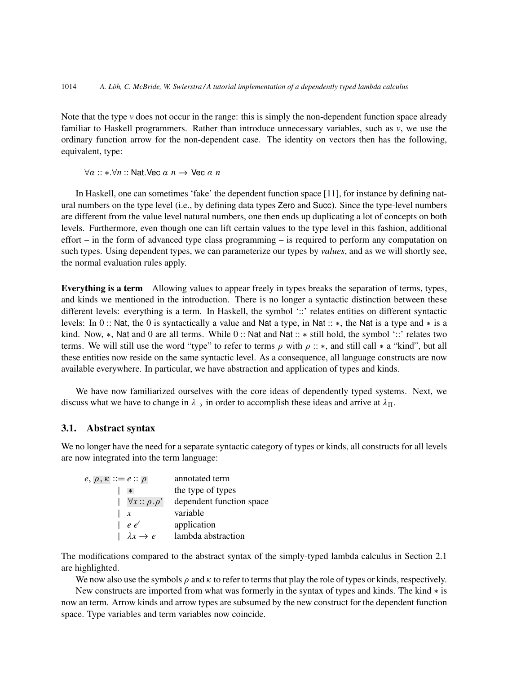Note that the type  $\nu$  does not occur in the range: this is simply the non-dependent function space already familiar to Haskell programmers. Rather than introduce unnecessary variables, such as *v*, we use the ordinary function arrow for the non-dependent case. The identity on vectors then has the following, equivalent, type:

∀α :: ∗.∀*n* :: Nat.Vec α *n* → Vec α *n*

In Haskell, one can sometimes 'fake' the dependent function space [11], for instance by defining natural numbers on the type level (i.e., by defining data types Zero and Succ). Since the type-level numbers are different from the value level natural numbers, one then ends up duplicating a lot of concepts on both levels. Furthermore, even though one can lift certain values to the type level in this fashion, additional effort – in the form of advanced type class programming – is required to perform any computation on such types. Using dependent types, we can parameterize our types by *values*, and as we will shortly see, the normal evaluation rules apply.

Everything is a term Allowing values to appear freely in types breaks the separation of terms, types, and kinds we mentioned in the introduction. There is no longer a syntactic distinction between these different levels: everything is a term. In Haskell, the symbol '::' relates entities on different syntactic levels: In 0 :: Nat, the 0 is syntactically a value and Nat a type, in Nat :: ∗, the Nat is a type and ∗ is a kind. Now, ∗, Nat and 0 are all terms. While 0 :: Nat and Nat :: ∗ still hold, the symbol '::' relates two terms. We will still use the word "type" to refer to terms  $\rho$  with  $\rho$  :: \*, and still call \* a "kind", but all these entities now reside on the same syntactic level. As a consequence, all language constructs are now available everywhere. In particular, we have abstraction and application of types and kinds.

We have now familiarized ourselves with the core ideas of dependently typed systems. Next, we discuss what we have to change in  $\lambda_{\rightarrow}$  in order to accomplish these ideas and arrive at  $\lambda_{\Pi}$ .

#### 3.1. Abstract syntax

We no longer have the need for a separate syntactic category of types or kinds, all constructs for all levels are now integrated into the term language:

| $e, p, \kappa ::= e :: \rho$  | annotated term           |
|-------------------------------|--------------------------|
| $\ast$                        | the type of types        |
| $ \forall x :: \rho . \rho' $ | dependent function space |
| $\boldsymbol{x}$              | variable                 |
| e e'                          | application              |
| $\lambda x \rightarrow e$     | lambda abstraction       |

The modifications compared to the abstract syntax of the simply-typed lambda calculus in Section 2.1 are highlighted.

We now also use the symbols  $\rho$  and  $\kappa$  to refer to terms that play the role of types or kinds, respectively.

New constructs are imported from what was formerly in the syntax of types and kinds. The kind ∗ is now an term. Arrow kinds and arrow types are subsumed by the new construct for the dependent function space. Type variables and term variables now coincide.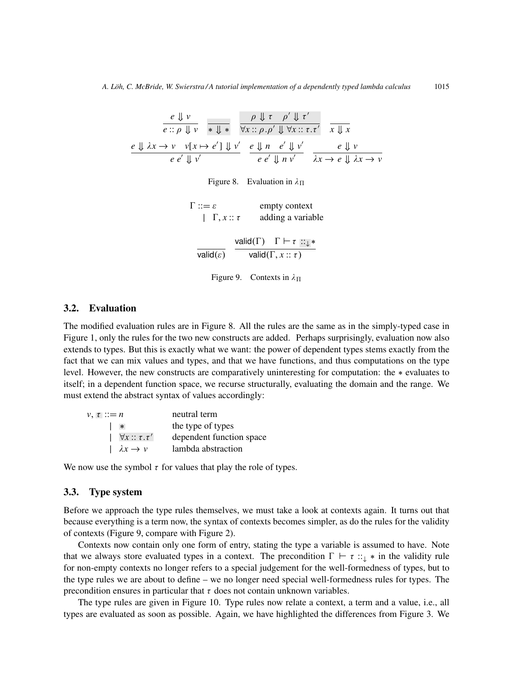$$
\frac{e \Downarrow v}{e :: \rho \Downarrow v} \xrightarrow{\pi \Downarrow *} \frac{\rho \Downarrow \tau \rho' \Downarrow \tau'}{\forall x :: \rho . \rho' \Downarrow \forall x :: \tau . \tau'} \frac{}{x \Downarrow x}
$$
\n
$$
\frac{e \Downarrow \lambda x \rightarrow v \quad v[x \mapsto e'] \Downarrow v'}{e e' \Downarrow v'} \xrightarrow{e \Downarrow n \quad e' \Downarrow v'} \frac{}{e \Downarrow n \quad e' \Downarrow v'} \frac{}{e \Downarrow \lambda x \rightarrow v}
$$

Figure 8. Evaluation in  $\lambda_{\Pi}$ 

| $\Gamma ::= \varepsilon$<br>$\Gamma, x :: \tau$ | empty context<br>adding a variable               |
|-------------------------------------------------|--------------------------------------------------|
|                                                 | valid( $\Gamma$ ) $\Gamma \vdash \tau :: \bot *$ |
| valid $(\varepsilon)$                           | valid $(\Gamma, x :: \tau)$                      |

Figure 9. Contexts in  $\lambda_{\Pi}$ 

#### 3.2. Evaluation

The modified evaluation rules are in Figure 8. All the rules are the same as in the simply-typed case in Figure 1, only the rules for the two new constructs are added. Perhaps surprisingly, evaluation now also extends to types. But this is exactly what we want: the power of dependent types stems exactly from the fact that we can mix values and types, and that we have functions, and thus computations on the type level. However, the new constructs are comparatively uninteresting for computation: the ∗ evaluates to itself; in a dependent function space, we recurse structurally, evaluating the domain and the range. We must extend the abstract syntax of values accordingly:

| $\nu, \tau ::= n$            | neutral term             |
|------------------------------|--------------------------|
| $\ast$                       | the type of types        |
| $ \forall x :: \tau . \tau'$ | dependent function space |
| $\lambda x \rightarrow v$    | lambda abstraction       |

We now use the symbol  $\tau$  for values that play the role of types.

#### 3.3. Type system

Before we approach the type rules themselves, we must take a look at contexts again. It turns out that because everything is a term now, the syntax of contexts becomes simpler, as do the rules for the validity of contexts (Figure 9, compare with Figure 2).

Contexts now contain only one form of entry, stating the type a variable is assumed to have. Note that we always store evaluated types in a context. The precondition  $\Gamma \vdash \tau :: \downarrow *$  in the validity rule for non-empty contexts no longer refers to a special judgement for the well-formedness of types, but to the type rules we are about to define – we no longer need special well-formedness rules for types. The precondition ensures in particular that  $\tau$  does not contain unknown variables.

The type rules are given in Figure 10. Type rules now relate a context, a term and a value, i.e., all types are evaluated as soon as possible. Again, we have highlighted the differences from Figure 3. We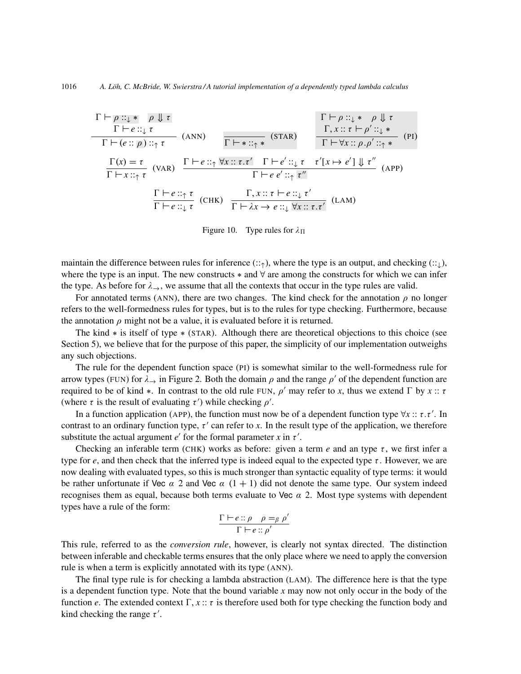$$
\frac{\Gamma \vdash \rho :: \downarrow * \quad \rho \Downarrow \tau}{\Gamma \vdash e :: \downarrow \tau} \quad \frac{\Gamma \vdash \rho :: \downarrow * \quad \rho \Downarrow \tau}{\Gamma \vdash (e :: \rho) :: \uparrow \tau} \quad \frac{\Gamma \vdash \vdash * :: \uparrow *}{\Gamma \vdash * :: \uparrow *} \quad \frac{\Gamma, x :: \tau \vdash \rho' :: \downarrow *}{\Gamma \vdash \forall x :: \rho . \rho' :: \uparrow *} \quad \text{(PI)}
$$
\n
$$
\frac{\Gamma(x) = \tau}{\Gamma \vdash x :: \uparrow \tau} \quad \text{(VAR)} \quad \frac{\Gamma \vdash e :: \uparrow \forall x :: \tau . \tau' \quad \Gamma \vdash e' :: \downarrow \tau \quad \tau' \downarrow x \rightarrow e' \downarrow \downarrow \tau''}{\Gamma \vdash e e' :: \uparrow \tau''} \quad \text{(APP)}
$$
\n
$$
\frac{\Gamma \vdash e :: \uparrow \tau}{\Gamma \vdash e :: \downarrow \tau} \quad \text{(CHK)} \quad \frac{\Gamma, x :: \tau \vdash e :: \downarrow \tau'}{\Gamma \vdash \lambda x \rightarrow e :: \downarrow \forall x :: \tau . \tau'} \quad \text{(LAM)}
$$

Figure 10. Type rules for  $\lambda_{\Pi}$ 

maintain the difference between rules for inference  $(:\cdot\cdot),$  where the type is an output, and checking  $(:\cdot\cdot).$ where the type is an input. The new constructs  $*$  and  $\forall$  are among the constructs for which we can infer the type. As before for  $\lambda \rightarrow$ , we assume that all the contexts that occur in the type rules are valid.

For annotated terms (ANN), there are two changes. The kind check for the annotation  $\rho$  no longer refers to the well-formedness rules for types, but is to the rules for type checking. Furthermore, because the annotation  $\rho$  might not be a value, it is evaluated before it is returned.

The kind ∗ is itself of type ∗ (STAR). Although there are theoretical objections to this choice (see Section 5), we believe that for the purpose of this paper, the simplicity of our implementation outweighs any such objections.

The rule for the dependent function space (PI) is somewhat similar to the well-formedness rule for arrow types (FUN) for  $\lambda \to 0$  in Figure 2. Both the domain  $\rho$  and the range  $\rho'$  of the dependent function are required to be of kind  $*$ . In contrast to the old rule FUN,  $\rho'$  may refer to *x*, thus we extend  $\Gamma$  by  $x :: \tau$ (where  $\tau$  is the result of evaluating  $\tau'$ ) while checking  $\rho'$ .

In a function application (APP), the function must now be of a dependent function type  $\forall x$  ::  $\tau.\tau'$ . In contrast to an ordinary function type,  $\tau'$  can refer to *x*. In the result type of the application, we therefore substitute the actual argument  $e^t$  for the formal parameter *x* in  $\tau'$ .

Checking an inferable term (CHK) works as before: given a term  $e$  and an type  $\tau$ , we first infer a type for *e*, and then check that the inferred type is indeed equal to the expected type τ. However, we are now dealing with evaluated types, so this is much stronger than syntactic equality of type terms: it would be rather unfortunate if Vec  $\alpha$  2 and Vec  $\alpha$  (1 + 1) did not denote the same type. Our system indeed recognises them as equal, because both terms evaluate to Vec  $\alpha$  2. Most type systems with dependent types have a rule of the form:

$$
\frac{\Gamma \vdash e :: \rho \quad \rho =_{\beta} \rho'}{\Gamma \vdash e :: \rho'}
$$

This rule, referred to as the *conversion rule*, however, is clearly not syntax directed. The distinction between inferable and checkable terms ensures that the only place where we need to apply the conversion rule is when a term is explicitly annotated with its type (ANN).

The final type rule is for checking a lambda abstraction (LAM). The difference here is that the type is a dependent function type. Note that the bound variable *x* may now not only occur in the body of the function *e*. The extended context  $\Gamma$ ,  $x :: \tau$  is therefore used both for type checking the function body and kind checking the range  $\tau'$ .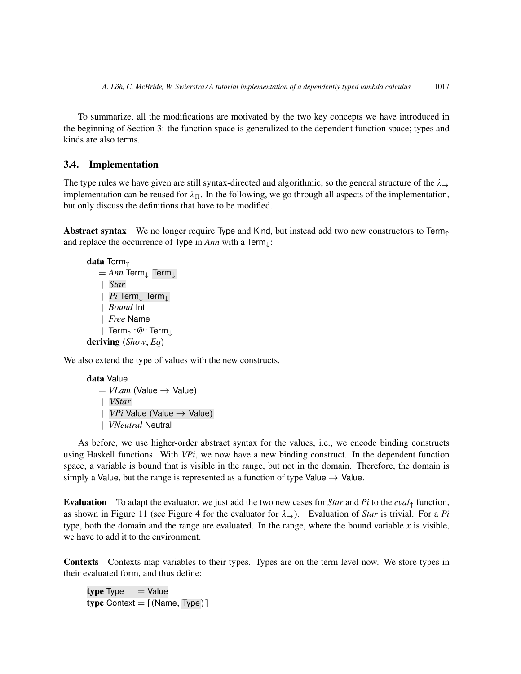To summarize, all the modifications are motivated by the two key concepts we have introduced in the beginning of Section 3: the function space is generalized to the dependent function space; types and kinds are also terms.

## 3.4. Implementation

The type rules we have given are still syntax-directed and algorithmic, so the general structure of the  $\lambda_{\rightarrow}$ implementation can be reused for  $\lambda_{\Pi}$ . In the following, we go through all aspects of the implementation, but only discuss the definitions that have to be modified.

Abstract syntax We no longer require Type and Kind, but instead add two new constructors to Term $<sub>0</sub>$ </sub> and replace the occurrence of Type in *Ann* with a Term<sub>⊥</sub>:

```
data Term↑
   = Ann Term<sub>⊥</sub> Term<sub>⊥</sub>
   | Star
   | Pi Term↓ Term↓
   | Bound Int
   | Free Name
    | Term↑ :@: Term↓
deriving (Show, Eq)
```
We also extend the type of values with the new constructs.

```
data Value
   = VLam (Value \rightarrow Value)
   | VStar
   | VPi Value (Value → Value)
   | VNeutral Neutral
```
As before, we use higher-order abstract syntax for the values, i.e., we encode binding constructs using Haskell functions. With *VPi*, we now have a new binding construct. In the dependent function space, a variable is bound that is visible in the range, but not in the domain. Therefore, the domain is simply a Value, but the range is represented as a function of type Value  $\rightarrow$  Value.

Evaluation To adapt the evaluator, we just add the two new cases for *Star* and *Pi* to the *eval*<sup>↑</sup> function, as shown in Figure 11 (see Figure 4 for the evaluator for  $\lambda_{\rightarrow}$ ). Evaluation of *Star* is trivial. For a *Pi* type, both the domain and the range are evaluated. In the range, where the bound variable  $x$  is visible, we have to add it to the environment.

Contexts Contexts map variables to their types. Types are on the term level now. We store types in their evaluated form, and thus define:

 $type = Value$ type Context  $= [$  (Name, Type)]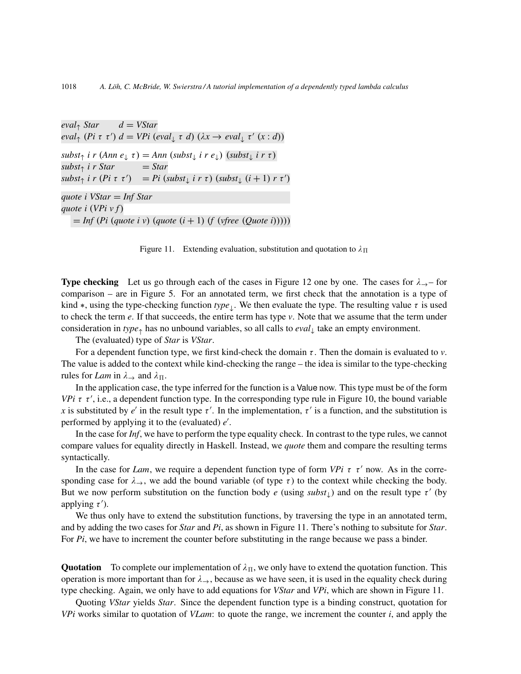$eval_{\uparrow} Star$  *d* = *VStar*  $eval_{\uparrow}$  (*Pi* τ τ')  $d = VPi$  (*eval*<sub>↓</sub> τ *d*) ( $\lambda x \rightarrow eval_{\downarrow}$  τ' ( $x : d$ ))  $subst_{\uparrow}$  *i r* (*Ann e*<sub>↓</sub> *τ*) = *Ann* (*subst*<sub>↓</sub> *i r e*<sub>↓</sub>) (*subst*<sub>↓</sub> *i r τ*)  $subst<sub>↑</sub>$  *i r Star* = *Star*  $subst_{\uparrow}$  *i*  $r$  (*Pi*  $\tau$   $\tau'$ ) = *Pi* ( $subst_{\downarrow}$  *i*  $r$   $\tau$ ) ( $subst_{\downarrow}$   $(i + 1)$   $r$   $\tau'$ ) *quote i VStar* = *Inf Star quote i* (*VPi v f*)  $=$  *Inf* (*Pi* (*quote i v*) (*quote* ( $i + 1$ ) (*f* (*vfree* (*Quote i*)))))

Figure 11. Extending evaluation, substitution and quotation to  $\lambda_{\Pi}$ 

**Type checking** Let us go through each of the cases in Figure 12 one by one. The cases for  $\lambda \rightarrow -$  for comparison – are in Figure 5. For an annotated term, we first check that the annotation is a type of kind  $*$ , using the type-checking function  $type_{\perp}$ . We then evaluate the type. The resulting value  $\tau$  is used to check the term *e*. If that succeeds, the entire term has type *v*. Note that we assume that the term under consideration in *type*<sup>↑</sup> has no unbound variables, so all calls to *eval*<sup>↓</sup> take an empty environment.

The (evaluated) type of *Star* is *VStar*.

For a dependent function type, we first kind-check the domain  $\tau$ . Then the domain is evaluated to  $\nu$ . The value is added to the context while kind-checking the range – the idea is similar to the type-checking rules for *Lam* in  $\lambda \rightarrow$  and  $\lambda \Pi$ .

In the application case, the type inferred for the function is a Value now. This type must be of the form *VPi*  $\tau$   $\tau'$ , i.e., a dependent function type. In the corresponding type rule in Figure 10, the bound variable x is substituted by *e'* in the result type  $\tau'$ . In the implementation,  $\tau'$  is a function, and the substitution is performed by applying it to the (evaluated) e'.

In the case for *Inf*, we have to perform the type equality check. In contrast to the type rules, we cannot compare values for equality directly in Haskell. Instead, we *quote* them and compare the resulting terms syntactically.

In the case for *Lam*, we require a dependent function type of form *VPi*  $\tau$   $\tau'$  now. As in the corresponding case for  $\lambda \rightarrow$ , we add the bound variable (of type  $\tau$ ) to the context while checking the body. But we now perform substitution on the function body  $e$  (using  $subst<sub>l</sub>$ ) and on the result type  $\tau'$  (by applying  $\tau'$ ).

We thus only have to extend the substitution functions, by traversing the type in an annotated term, and by adding the two cases for *Star* and *Pi*, as shown in Figure 11. There's nothing to subsitute for *Star*. For *Pi*, we have to increment the counter before substituting in the range because we pass a binder.

**Quotation** To complete our implementation of  $\lambda_{\Pi}$ , we only have to extend the quotation function. This operation is more important than for  $\lambda_{\rightarrow}$ , because as we have seen, it is used in the equality check during type checking. Again, we only have to add equations for *VStar* and *VPi*, which are shown in Figure 11.

Quoting *VStar* yields *Star*. Since the dependent function type is a binding construct, quotation for *VPi* works similar to quotation of *VLam*: to quote the range, we increment the counter *i*, and apply the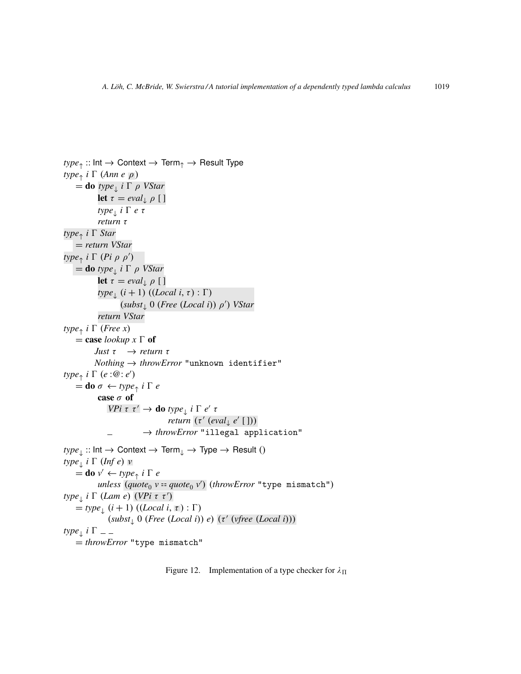```
type<sub>↑</sub> :: Int \rightarrow Context \rightarrow Term<sub>↑</sub> \rightarrow Result Type
type<sub>↑</sub> i \Gamma (Ann e \overline{\rho})
     =do type<sub>\perp</sub> i \Gamma \rho VStar
              let \tau = eval_{\perp} \rho [ ]
               type↓
i 0 e τ
              return τ
type↑
i 0 Star
    = return VStar
type_{\uparrow} i \Gamma (Pi \rho \rho')
     =do type<sub>\perp</sub> i \Gamma \rho VStar
              let \tau = eval_{\perp} \rho [ ]
               type_{\perp} (i + 1) ((Local i, \tau) : \Gamma)
                         (subst_{\downarrow} 0 (Free (Local i)) \rho') VStar
              return VStar
type<sup>↑</sup> i \Gamma (Free x)
    = case lookup x \Gamma of
             Just τ → return τ
             Nothing → throwError "unknown identifier"
type_{\uparrow} i \Gamma (e : \overline{\omega} : e')
     =do \sigma \leftarrow type_{\uparrow} i \Gamma e
              case \sigma of
                    VPi \tau \tau' \rightarrow do type<sub>\perp</sub> i \Gamma e' \taureturn (τ' (eval<sub>↓</sub> e' []))
                                   → throwError "illegal application"
type_{\perp}:: Int \rightarrow Context \rightarrow Term<sub>\downarrow</sub> \rightarrow Type \rightarrow Result ()
type<sub>↓</sub> i \Gamma (Inf e) v
     \stackrel{\sim}{=}do v' \leftarrow type_{\uparrow} i \Gamma e
               unless (\textit{quote}_0 \text{ } v \text{ == } \textit{quote}_0 \text{ } v') (\textit{throwError} \text{ } "type \text{ } \text{mismatch"} )type_{\perp} i \Gamma (Lam e) (VPi τ τ')
     \stackrel{\sim}{=} type<sub>1</sub> (i + 1) (\text{(Local } i, \tau) : \Gamma)(subst_{\downarrow} 0 \text{ (Free (Local i)) } e) (τ' (vfree (Local i)))
type<sub>↓</sub> i Γ
    = throwError "type mismatch"
```
Figure 12. Implementation of a type checker for  $\lambda_{\Pi}$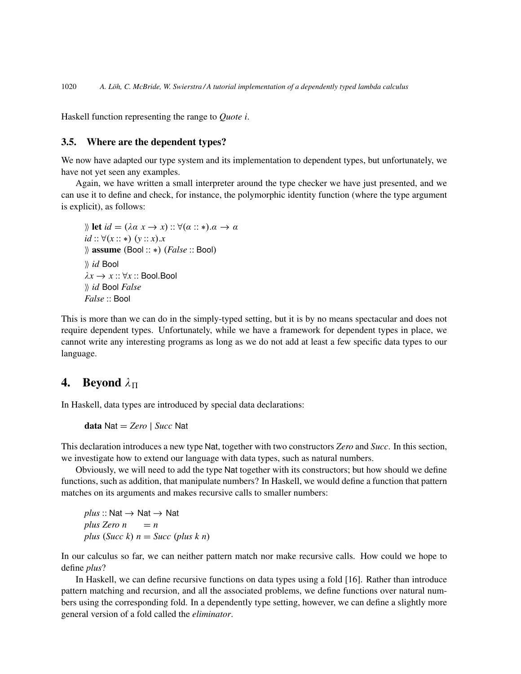Haskell function representing the range to *Quote i*.

### 3.5. Where are the dependent types?

We now have adapted our type system and its implementation to dependent types, but unfortunately, we have not yet seen any examples.

Again, we have written a small interpreter around the type checker we have just presented, and we can use it to define and check, for instance, the polymorphic identity function (where the type argument is explicit), as follows:

```
\mathbb{R} let id = (\lambda \alpha \ x \rightarrow x) : \forall (\alpha : \ast). \alpha \rightarrow \alphaid :: ∀(x :: ∗) (y :: x).x
ii assume (Bool :: ∗) (False :: Bool)
ii id Bool
\lambda x \rightarrow x :: \forall x :: Bool.Bool
ii id Bool False
False :: Bool
```
This is more than we can do in the simply-typed setting, but it is by no means spectacular and does not require dependent types. Unfortunately, while we have a framework for dependent types in place, we cannot write any interesting programs as long as we do not add at least a few specific data types to our language.

## **4.** Beyond  $\lambda_{\Pi}$

In Haskell, data types are introduced by special data declarations:

data Nat = *Zero* | *Succ* Nat

This declaration introduces a new type Nat, together with two constructors *Zero* and *Succ*. In this section, we investigate how to extend our language with data types, such as natural numbers.

Obviously, we will need to add the type Nat together with its constructors; but how should we define functions, such as addition, that manipulate numbers? In Haskell, we would define a function that pattern matches on its arguments and makes recursive calls to smaller numbers:

 $plus :: Nat \rightarrow Nat \rightarrow Nat$  $plus$  *Zero*  $n = n$ *plus* (*Succ k*)  $n = Succ$  (*plus k n*)

In our calculus so far, we can neither pattern match nor make recursive calls. How could we hope to define *plus*?

In Haskell, we can define recursive functions on data types using a fold [16]. Rather than introduce pattern matching and recursion, and all the associated problems, we define functions over natural numbers using the corresponding fold. In a dependently type setting, however, we can define a slightly more general version of a fold called the *eliminator*.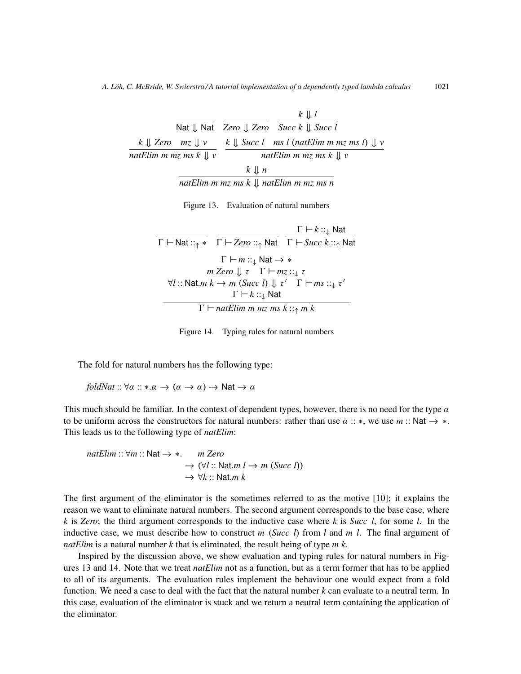|                                     |                                 | $k \perp l$                                                         |
|-------------------------------------|---------------------------------|---------------------------------------------------------------------|
|                                     |                                 | Nat $\parallel$ Nat Zero $\parallel$ Zero Succ k $\parallel$ Succ l |
| $k \parallel$ Zero $mz \parallel v$ |                                 | k $\parallel$ Succ l ms l (natElim m mz ms l) $\parallel$ v         |
| natElim m mz ms $k \parallel v$     | natElim m mz ms $k \parallel v$ |                                                                     |
|                                     | $k \downarrow n$                |                                                                     |

*natElim m mz ms k* ⇓ *natElim m mz ms n*

Figure 13. Evaluation of natural numbers

|                                                                                                                           | $\Gamma \vdash k ::_{\perp}$ Nat                                                                                      |
|---------------------------------------------------------------------------------------------------------------------------|-----------------------------------------------------------------------------------------------------------------------|
|                                                                                                                           | $\Gamma \vdash$ Nat :: $\uparrow \ast$ $\Gamma \vdash$ Zero :: $\uparrow$ Nat $\Gamma \vdash$ Succ $k : \uparrow$ Nat |
| $\Gamma \vdash m :: \downarrow \mathsf{Nat} \rightarrow *$<br>m Zero $\parallel \tau \quad \Gamma \vdash mz :: \bot \tau$ |                                                                                                                       |
| $\forall l$ :: Nat.m $k \to m$ (Succ l) $\parallel \tau'$ $\Gamma \vdash ms ::_{\perp} \tau'$                             |                                                                                                                       |
| $\Gamma \vdash k ::_{\perp}$ Nat                                                                                          |                                                                                                                       |
| $\Gamma \vdash$ natElim m mz ms k :: $\uparrow$ m k                                                                       |                                                                                                                       |

Figure 14. Typing rules for natural numbers

The fold for natural numbers has the following type:

*foldNat* ::  $\forall \alpha$  :: \*. $\alpha \rightarrow (\alpha \rightarrow \alpha) \rightarrow$  Nat  $\rightarrow \alpha$ 

This much should be familiar. In the context of dependent types, however, there is no need for the type  $\alpha$ to be uniform across the constructors for natural numbers: rather than use  $\alpha :: *$ , we use  $m :: \text{Nat} \rightarrow *$ . This leads us to the following type of *natElim*:

*natElim* :: 
$$
\forall m
$$
 :: Nat → \*. *m Zero*  
\n $\rightarrow (\forall l$  :: Nat.*m l* → *m* (Succ *l*))  
\n $\rightarrow \forall k$  :: Nat.*m k*

The first argument of the eliminator is the sometimes referred to as the motive [10]; it explains the reason we want to eliminate natural numbers. The second argument corresponds to the base case, where *k* is *Zero*; the third argument corresponds to the inductive case where *k* is *Succ l*, for some *l*. In the inductive case, we must describe how to construct *m* (*Succ l*) from *l* and *m l*. The final argument of *natElim* is a natural number *k* that is eliminated, the result being of type *m k*.

Inspired by the discussion above, we show evaluation and typing rules for natural numbers in Figures 13 and 14. Note that we treat *natElim* not as a function, but as a term former that has to be applied to all of its arguments. The evaluation rules implement the behaviour one would expect from a fold function. We need a case to deal with the fact that the natural number *k* can evaluate to a neutral term. In this case, evaluation of the eliminator is stuck and we return a neutral term containing the application of the eliminator.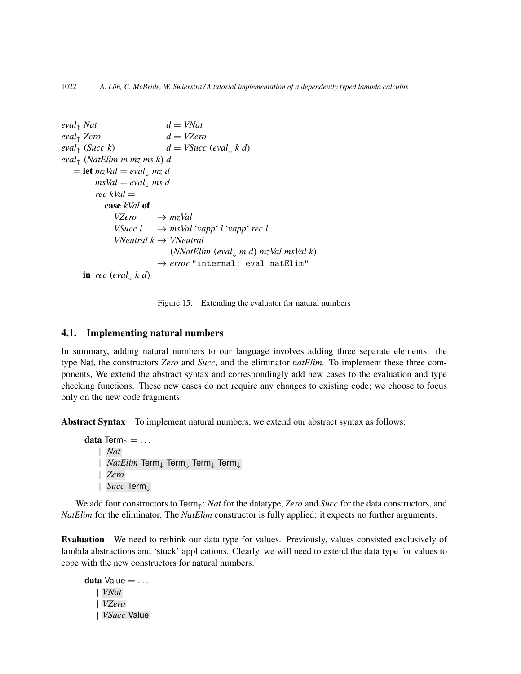```
eval_{\uparrow} Nat d = VNateval↑ Zero d = VZero
eval_{\uparrow} (Succ k) d = VSucc (eval<sub>↓</sub> k d)
eval↑ (NatElim m mz ms k) d
   = let mzVal = eval_{\downarrow} mz \, dmsVal = eval_{\perp} ms drec kVal =
           case kVal of
              VZero \rightarrow mzValVSucc l → msVal 'vapp' l 'vapp' rec l
              VNeutral k → VNeutral
                             (NNatElim (eval↓ m d) mzVal msVal k)
                          \rightarrow error "internal: eval natElim"
     in rec (eval<sub>\downarrow</sub> kd)
```
Figure 15. Extending the evaluator for natural numbers

#### 4.1. Implementing natural numbers

In summary, adding natural numbers to our language involves adding three separate elements: the type Nat, the constructors *Zero* and *Succ*, and the eliminator *natElim*. To implement these three components, We extend the abstract syntax and correspondingly add new cases to the evaluation and type checking functions. These new cases do not require any changes to existing code; we choose to focus only on the new code fragments.

Abstract Syntax To implement natural numbers, we extend our abstract syntax as follows:

data Term $\uparrow$  = ... | *Nat* | *NatElim* Term<sup>↓</sup> Term<sup>↓</sup> Term<sup>↓</sup> Term<sup>↓</sup> | *Zero* | *Succ* Term<sup>↓</sup>

We add four constructors to Term↑: *Nat* for the datatype, *Zero* and *Succ* for the data constructors, and *NatElim* for the eliminator. The *NatElim* constructor is fully applied: it expects no further arguments.

Evaluation We need to rethink our data type for values. Previously, values consisted exclusively of lambda abstractions and 'stuck' applications. Clearly, we will need to extend the data type for values to cope with the new constructors for natural numbers.

data Value  $= \ldots$ | *VNat* | *VZero* | *VSucc* Value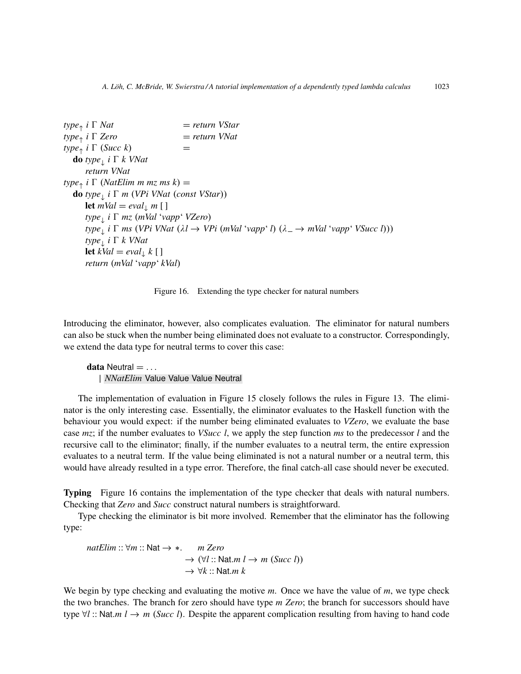```
type<sub>↑</sub> i Γ Nat
                                  i = return VStartype↑
                                  i = return VNat
type_1 i \Gamma (Succ k) =
   do type↓
i 0 k VNat
      return VNat
type_{\uparrow} i \Gamma (NatElim m mz ms k) =
   do type↓
i 0 m (VPi VNat (const VStar))
      let mVal = eval_{\downarrow} m [ ]
      type↓
i 0 mz (mVal 'vapp' VZero)
      type↓
i 0 ms (VPi VNat (λl → VPi (mVal 'vapp' l) (λ → mVal 'vapp' VSucc l)))
      type↓
i 0 k VNat
      let kVal = eval_{\downarrow} k [ ]
      return (mVal 'vapp' kVal)
```
Figure 16. Extending the type checker for natural numbers

Introducing the eliminator, however, also complicates evaluation. The eliminator for natural numbers can also be stuck when the number being eliminated does not evaluate to a constructor. Correspondingly, we extend the data type for neutral terms to cover this case:

 $data$  Neutral  $= \ldots$ | *NNatElim* Value Value Value Neutral

The implementation of evaluation in Figure 15 closely follows the rules in Figure 13. The eliminator is the only interesting case. Essentially, the eliminator evaluates to the Haskell function with the behaviour you would expect: if the number being eliminated evaluates to *VZero*, we evaluate the base case *mz*; if the number evaluates to *VSucc l*, we apply the step function *ms* to the predecessor *l* and the recursive call to the eliminator; finally, if the number evaluates to a neutral term, the entire expression evaluates to a neutral term. If the value being eliminated is not a natural number or a neutral term, this would have already resulted in a type error. Therefore, the final catch-all case should never be executed.

Typing Figure 16 contains the implementation of the type checker that deals with natural numbers. Checking that *Zero* and *Succ* construct natural numbers is straightforward.

Type checking the eliminator is bit more involved. Remember that the eliminator has the following type:

*natElim* :: ∀*m* :: Nat → ∗. *m Zero*  $\rightarrow$  ( $\forall l$  :: Nat.*m*  $l \rightarrow m$  (*Succ l*))  $\rightarrow \forall k$  :: Nat.*m* k

We begin by type checking and evaluating the motive *m*. Once we have the value of *m*, we type check the two branches. The branch for zero should have type *m Zero*; the branch for successors should have type ∀*l* :: Nat.*m l* → *m* (*Succ l*). Despite the apparent complication resulting from having to hand code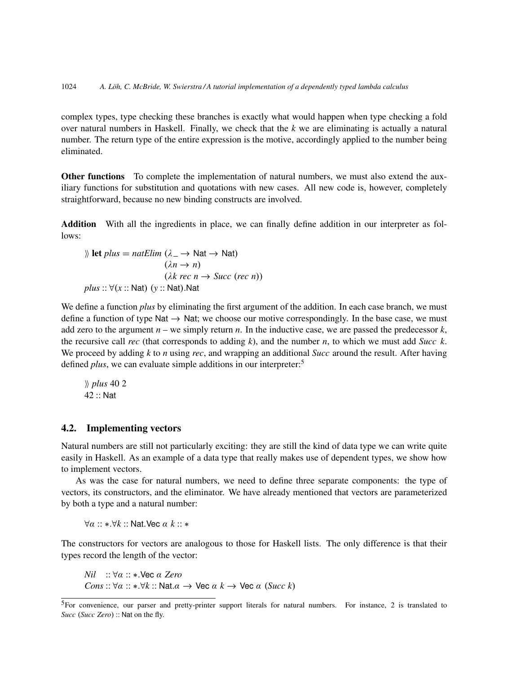complex types, type checking these branches is exactly what would happen when type checking a fold over natural numbers in Haskell. Finally, we check that the *k* we are eliminating is actually a natural number. The return type of the entire expression is the motive, accordingly applied to the number being eliminated.

Other functions To complete the implementation of natural numbers, we must also extend the auxiliary functions for substitution and quotations with new cases. All new code is, however, completely straightforward, because no new binding constructs are involved.

Addition With all the ingredients in place, we can finally define addition in our interpreter as follows:

$$
% let plus = natElim (\lambda_ → Nat → Nat)
$$
  
\n( $\lambda n → n$ )  
\n( $\lambda k rec n → Succ (rec n)$ )  
\nplus ::  $\forall (x :: Nat) (y :: Nat). Nat$ 

We define a function *plus* by eliminating the first argument of the addition. In each case branch, we must define a function of type Nat  $\rightarrow$  Nat; we choose our motive correspondingly. In the base case, we must add zero to the argument  $n -$  we simply return  $n$ . In the inductive case, we are passed the predecessor  $k$ , the recursive call *rec* (that corresponds to adding *k*), and the number *n*, to which we must add *Succ k*. We proceed by adding *k* to *n* using *rec*, and wrapping an additional *Succ* around the result. After having defined *plus*, we can evaluate simple additions in our interpreter:<sup>5</sup>

$$
\begin{array}{c}\n\text{W} plus 40 2 \\
\text{42} :: \text{Nat}\n\end{array}
$$

#### 4.2. Implementing vectors

Natural numbers are still not particularly exciting: they are still the kind of data type we can write quite easily in Haskell. As an example of a data type that really makes use of dependent types, we show how to implement vectors.

As was the case for natural numbers, we need to define three separate components: the type of vectors, its constructors, and the eliminator. We have already mentioned that vectors are parameterized by both a type and a natural number:

∀α :: ∗.∀*k* :: Nat.Vec α *k* :: ∗

The constructors for vectors are analogous to those for Haskell lists. The only difference is that their types record the length of the vector:

*Nil* :: ∀α :: ∗.Vec α *Zero Cons* ::  $\forall \alpha$  :: \*. $\forall k$  :: Nat. $\alpha \rightarrow \forall k \in \alpha$   $k \rightarrow \forall k \in \alpha$  (*Succ k*)

<sup>&</sup>lt;sup>5</sup>For convenience, our parser and pretty-printer support literals for natural numbers. For instance, 2 is translated to *Succ* (*Succ Zero*) :: Nat on the fly.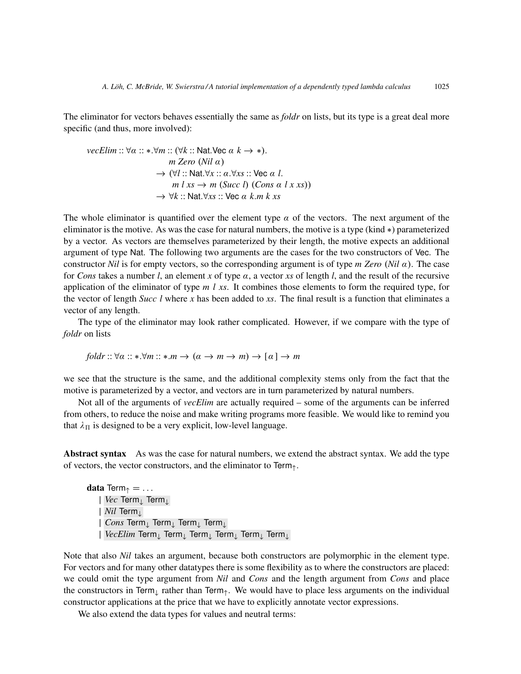The eliminator for vectors behaves essentially the same as *foldr* on lists, but its type is a great deal more specific (and thus, more involved):

\n
$$
\text{vecElim} :: \forall \alpha :: *.\forall m :: (\forall k :: \text{Nat}.\text{Vec } \alpha \, k \to *)
$$
\n

\n\n $\text{vec } \alpha \, (Nil \, \alpha)$ \n

\n\n $\rightarrow (\forall l :: \text{Nat}.\forall x :: \alpha.\forall xs :: \text{Vec } \alpha \, l \, .$ \n

\n\n $\rightarrow \forall l :: \text{Nat}.\forall x :: \alpha.\forall xs :: \text{Vec } \alpha \, l \, .$ \n

\n\n $\rightarrow \forall k :: \text{Nat}.\forall xs :: \text{Vec } \alpha \, k.m \, k \, .$ \n

The whole eliminator is quantified over the element type  $\alpha$  of the vectors. The next argument of the eliminator is the motive. As was the case for natural numbers, the motive is a type (kind ∗) parameterized by a vector. As vectors are themselves parameterized by their length, the motive expects an additional argument of type Nat. The following two arguments are the cases for the two constructors of Vec. The constructor *Nil* is for empty vectors, so the corresponding argument is of type *m Zero* (*Nil* α). The case for *Cons* takes a number *l*, an element *x* of type α, a vector *xs* of length *l*, and the result of the recursive application of the eliminator of type *m l xs*. It combines those elements to form the required type, for the vector of length *Succ l* where *x* has been added to *xs*. The final result is a function that eliminates a vector of any length.

The type of the eliminator may look rather complicated. However, if we compare with the type of *foldr* on lists

$$
foldr:: \forall \alpha :: *.\forall m :: *.m \rightarrow (\alpha \rightarrow m \rightarrow m) \rightarrow [\alpha] \rightarrow m
$$

we see that the structure is the same, and the additional complexity stems only from the fact that the motive is parameterized by a vector, and vectors are in turn parameterized by natural numbers.

Not all of the arguments of *vecElim* are actually required – some of the arguments can be inferred from others, to reduce the noise and make writing programs more feasible. We would like to remind you that  $\lambda_{\Pi}$  is designed to be a very explicit, low-level language.

Abstract syntax As was the case for natural numbers, we extend the abstract syntax. We add the type of vectors, the vector constructors, and the eliminator to  $\text{Term}_{\uparrow}$ .

data Term $\uparrow$  = ... | *Vec* Term<sup>↓</sup> Term<sup>↓</sup> | *Nil* Term<sup>↓</sup> | *Cons* Term<sup>↓</sup> Term<sup>↓</sup> Term<sup>↓</sup> Term<sup>↓</sup> | *VecElim* Term<sup>↓</sup> Term<sup>↓</sup> Term<sup>↓</sup> Term<sup>↓</sup> Term<sup>↓</sup> Term<sup>↓</sup>

Note that also *Nil* takes an argument, because both constructors are polymorphic in the element type. For vectors and for many other datatypes there is some flexibility as to where the constructors are placed: we could omit the type argument from *Nil* and *Cons* and the length argument from *Cons* and place the constructors in Term<sub>↓</sub> rather than Term<sub>↑</sub>. We would have to place less arguments on the individual constructor applications at the price that we have to explicitly annotate vector expressions.

We also extend the data types for values and neutral terms: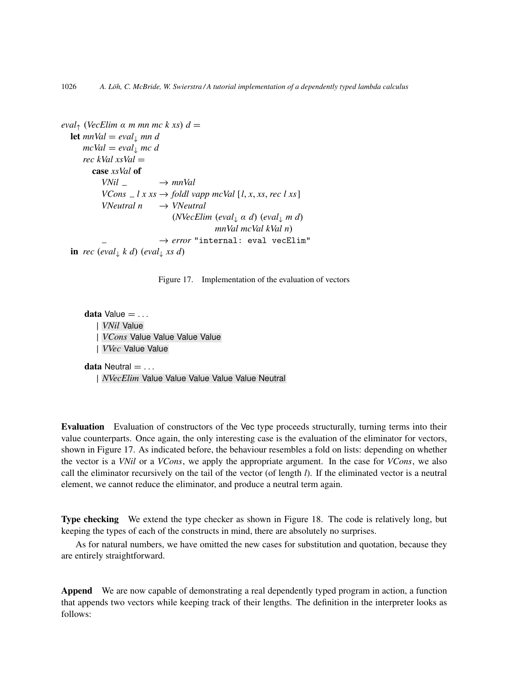```
eval_{\uparrow} (VecElim \alpha m mn mc k xs) d =let mnVal = eval_{\perp} mn dmcVal = eval_{\downarrow} mc drec kVal xsVal =
          case xsVal of
            VNil \longrightarrow mnValVCons \angle l x xs \rightarrow foldl vapp mcVal [l, x, xs, rec l xs]
             VNeutral n → VNeutral
                                   (NVecElim (eval↓ α d) (eval↓ m d)
                                                mnVal mcVal kVal n)
                               \rightarrow error "internal: eval vecElim"
  in rec (eval<sub>\downarrow</sub> k d) (eval<sub>\downarrow</sub> xs d)
```
Figure 17. Implementation of the evaluation of vectors

data Value  $= \ldots$ | *VNil* Value | *VCons* Value Value Value Value | *VVec* Value Value data Neutral  $= \ldots$ 

| *NVecElim* Value Value Value Value Value Neutral

Evaluation Evaluation of constructors of the Vec type proceeds structurally, turning terms into their value counterparts. Once again, the only interesting case is the evaluation of the eliminator for vectors, shown in Figure 17. As indicated before, the behaviour resembles a fold on lists: depending on whether the vector is a *VNil* or a *VCons*, we apply the appropriate argument. In the case for *VCons*, we also call the eliminator recursively on the tail of the vector (of length *l*). If the eliminated vector is a neutral element, we cannot reduce the eliminator, and produce a neutral term again.

Type checking We extend the type checker as shown in Figure 18. The code is relatively long, but keeping the types of each of the constructs in mind, there are absolutely no surprises.

As for natural numbers, we have omitted the new cases for substitution and quotation, because they are entirely straightforward.

Append We are now capable of demonstrating a real dependently typed program in action, a function that appends two vectors while keeping track of their lengths. The definition in the interpreter looks as follows: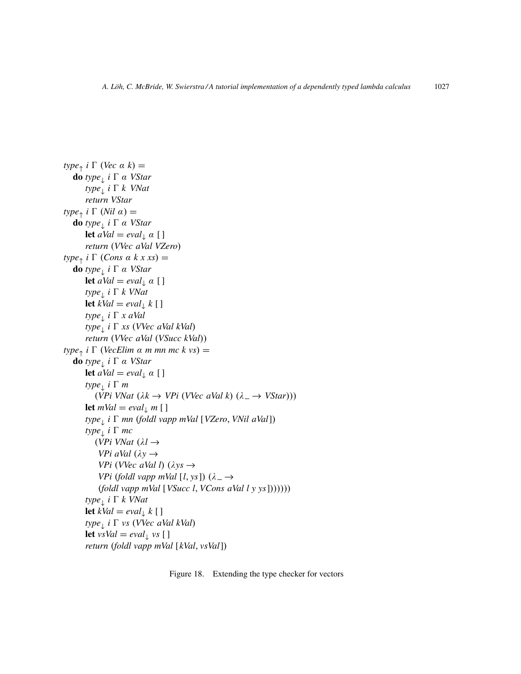```
type_{\uparrow} i \Gamma (Vec \alpha k) =
   do type↓
i 0 α VStar
       type↓
i 0 k VNat
      return VStar
type_{\uparrow} i \Gamma (Nil \alpha) =
   do type↓
i 0 α VStar
      let aVal = eval_{\perp} \alpha [ ]
      return (VVec aVal VZero)
type_{\uparrow} i \Gamma (Cons \alpha k x xs) =
   do type↓
i 0 α VStar
      let aVal = eval_{\downarrow} \alpha [ ]
       type↓
i 0 k VNat
      let kVal = eval_{\downarrow} k [ ]
       type↓
i 0 x aVal
       type↓
i 0 xs (VVec aVal kVal)
      return (VVec aVal (VSucc kVal))
type_{\uparrow} i \Gamma (VecElim \alpha m mn mc k vs) =
   do type↓
i 0 α VStar
      let aVal = eval_{\downarrow} \alpha [ ]
       type<sub>↓</sub> i Γ m
          (VPi VNat (\lambda k \rightarrow VPi (VVec aVal k) (\lambda \rightarrow VStar)))let mVal = eval_{\perp} m [ ]
       type↓
i 0 mn (foldl vapp mVal [VZero, VNil aVal])
       type<sub>⊥</sub> i Γ mc
          (VPi VNat (λl →
           VPi aVal (\lambda y \rightarrowVPi (VVec aVal l) (\lambda y s \rightarrowVPi (foldl vapp mVal [l, ys]) (\lambda \rightarrow(foldl vapp mVal [VSucc l, VCons aVal l y ys]))))))
       type↓
i 0 k VNat
      let kVal = eval_{\downarrow} k [ ]
       type↓
i 0 vs (VVec aVal kVal)
      let vsVal = eval_{\downarrow} vs [ ]
       return (foldl vapp mVal [kVal, vsVal])
```
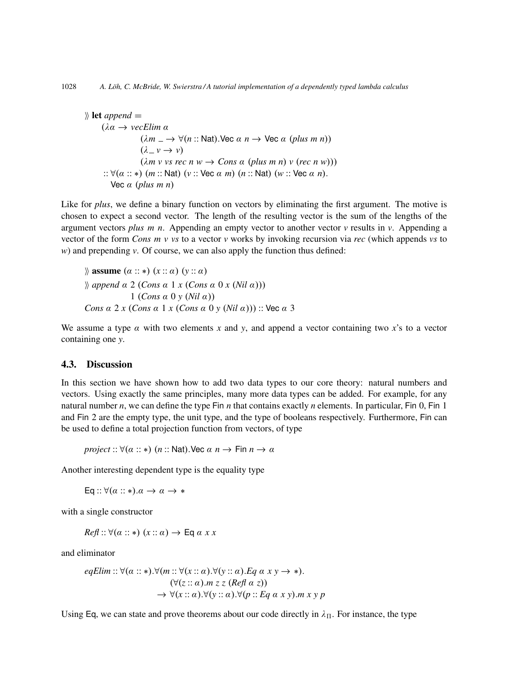$\mathcal{E}$  let *append* = (λα → *vecElim* α  $(\lambda m \perp \rightarrow \forall (n:: \text{Nat})$ . Vec  $\alpha n \rightarrow \text{Vec } \alpha$  (*plus m n*))  $(\lambda \nu \rightarrow \nu)$  $(\lambda m \vee \nu s \text{ rec } n \vee \rightarrow \text{Cons } \alpha \text{ (plus } m \text{ n}) \vee (\text{rec } n \vee))$ :: ∀(α :: ∗) (*m* :: Nat) (*v* :: Vec α *m*) (*n* :: Nat) (*w* :: Vec α *n*). Vec α (*plus m n*)

Like for *plus*, we define a binary function on vectors by eliminating the first argument. The motive is chosen to expect a second vector. The length of the resulting vector is the sum of the lengths of the argument vectors *plus m n*. Appending an empty vector to another vector  $\nu$  results in  $\nu$ . Appending a vector of the form *Cons m v vs* to a vector *v* works by invoking recursion via *rec* (which appends *vs* to *w*) and prepending *v*. Of course, we can also apply the function thus defined:

$$
\begin{aligned}\n\text{Assume } (\alpha :: *) (x :: \alpha) (y :: \alpha) \\
\text{where } \alpha & 2 (Cons \alpha 1 x (Cons \alpha 0 x (Nil \alpha))) \\
& 1 (Cons \alpha 0 y (Nil \alpha)) \\
\text{Cons } \alpha & 2 x (Cons \alpha 1 x (Cons \alpha 0 y (Nil \alpha)))\n\end{aligned}
$$

We assume a type  $\alpha$  with two elements x and y, and append a vector containing two x's to a vector containing one *y*.

#### 4.3. Discussion

In this section we have shown how to add two data types to our core theory: natural numbers and vectors. Using exactly the same principles, many more data types can be added. For example, for any natural number *n*, we can define the type Fin *n* that contains exactly *n* elements. In particular, Fin 0, Fin 1 and Fin 2 are the empty type, the unit type, and the type of booleans respectively. Furthermore, Fin can be used to define a total projection function from vectors, of type

*project* ::  $\forall (\alpha : \ast)$  (*n* :: Nat). Vec  $\alpha$  *n*  $\rightarrow$  Fin  $n \rightarrow \alpha$ 

Another interesting dependent type is the equality type

Eq ::  $\forall (\alpha : \ast) . \alpha \rightarrow \alpha \rightarrow \ast$ 

with a single constructor

 $Ref: \forall (\alpha : \ast) (x : \alpha) \rightarrow \textsf{Eq} \alpha x x$ 

and eliminator

$$
eqElim:: \forall (\alpha::*).\forall (m:: \forall (x:: \alpha). \forall (y:: \alpha). Eq \alpha x y \rightarrow *).
$$
  

$$
(\forall (z:: \alpha). m z z (Ref \alpha z))
$$
  

$$
\rightarrow \forall (x:: \alpha). \forall (y:: \alpha). \forall (p:: Eq \alpha x y). m x y p
$$

Using Eq, we can state and prove theorems about our code directly in  $\lambda_{\Pi}$ . For instance, the type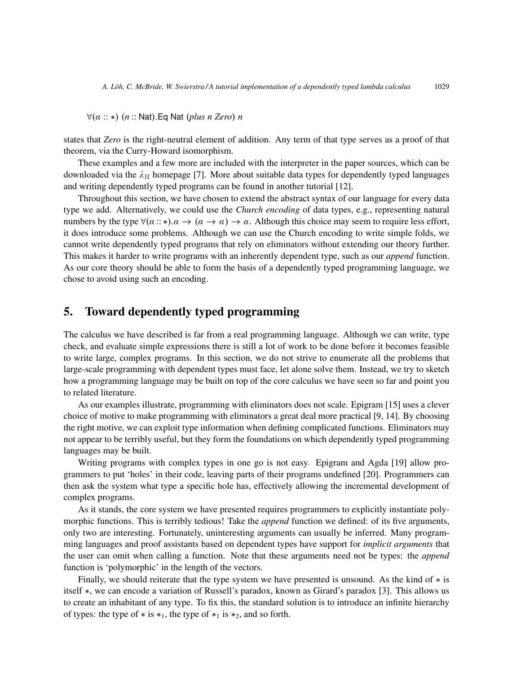∀(α :: ∗) (*n* :: Nat).Eq Nat (*plus n Zero*) *n*

states that *Zero* is the right-neutral element of addition. Any term of that type serves as a proof of that theorem, via the Curry-Howard isomorphism.

These examples and a few more are included with the interpreter in the paper sources, which can be downloaded via the  $\lambda_{\Pi}$  homepage [7]. More about suitable data types for dependently typed languages and writing dependently typed programs can be found in another tutorial [12].

Throughout this section, we have chosen to extend the abstract syntax of our language for every data type we add. Alternatively, we could use the *Church encoding* of data types, e.g., representing natural numbers by the type  $\forall (\alpha : \ast) . \alpha \rightarrow (\alpha \rightarrow \alpha) \rightarrow \alpha$ . Although this choice may seem to require less effort, it does introduce some problems. Although we can use the Church encoding to write simple folds, we cannot write dependently typed programs that rely on eliminators without extending our theory further. This makes it harder to write programs with an inherently dependent type, such as our *append* function. As our core theory should be able to form the basis of a dependently typed programming language, we chose to avoid using such an encoding.

# 5. Toward dependently typed programming

The calculus we have described is far from a real programming language. Although we can write, type check, and evaluate simple expressions there is still a lot of work to be done before it becomes feasible to write large, complex programs. In this section, we do not strive to enumerate all the problems that large-scale programming with dependent types must face, let alone solve them. Instead, we try to sketch how a programming language may be built on top of the core calculus we have seen so far and point you to related literature.

As our examples illustrate, programming with eliminators does not scale. Epigram [15] uses a clever choice of motive to make programming with eliminators a great deal more practical [9, 14]. By choosing the right motive, we can exploit type information when defining complicated functions. Eliminators may not appear to be terribly useful, but they form the foundations on which dependently typed programming languages may be built.

Writing programs with complex types in one go is not easy. Epigram and Agda [19] allow programmers to put 'holes' in their code, leaving parts of their programs undefined [20]. Programmers can then ask the system what type a specific hole has, effectively allowing the incremental development of complex programs.

As it stands, the core system we have presented requires programmers to explicitly instantiate polymorphic functions. This is terribly tedious! Take the *append* function we defined: of its five arguments, only two are interesting. Fortunately, uninteresting arguments can usually be inferred. Many programming languages and proof assistants based on dependent types have support for *implicit arguments* that the user can omit when calling a function. Note that these arguments need not be types: the *append* function is 'polymorphic' in the length of the vectors.

Finally, we should reiterate that the type system we have presented is unsound. As the kind of ∗ is itself ∗, we can encode a variation of Russell's paradox, known as Girard's paradox [3]. This allows us to create an inhabitant of any type. To fix this, the standard solution is to introduce an infinite hierarchy of types: the type of  $*$  is  $*$ <sub>1</sub>, the type of  $*$ <sub>1</sub> is  $*$ <sub>2</sub>, and so forth.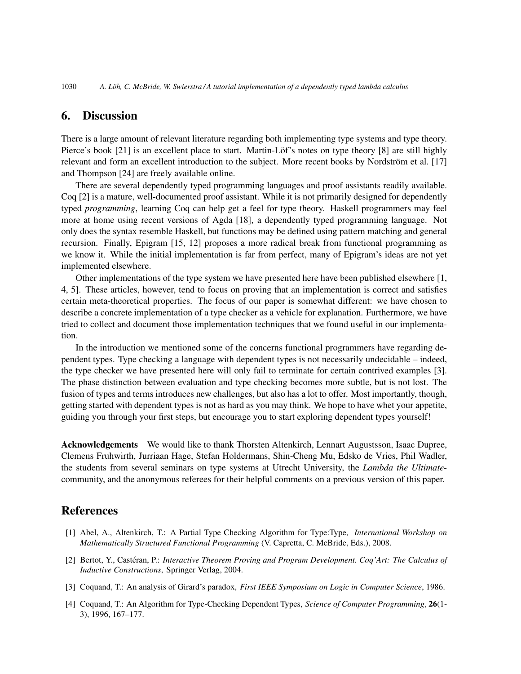## 6. Discussion

There is a large amount of relevant literature regarding both implementing type systems and type theory. Pierce's book [21] is an excellent place to start. Martin-Löf's notes on type theory [8] are still highly relevant and form an excellent introduction to the subject. More recent books by Nordström et al. [17] and Thompson [24] are freely available online.

There are several dependently typed programming languages and proof assistants readily available. Coq [2] is a mature, well-documented proof assistant. While it is not primarily designed for dependently typed *programming*, learning Coq can help get a feel for type theory. Haskell programmers may feel more at home using recent versions of Agda [18], a dependently typed programming language. Not only does the syntax resemble Haskell, but functions may be defined using pattern matching and general recursion. Finally, Epigram [15, 12] proposes a more radical break from functional programming as we know it. While the initial implementation is far from perfect, many of Epigram's ideas are not yet implemented elsewhere.

Other implementations of the type system we have presented here have been published elsewhere [1, 4, 5]. These articles, however, tend to focus on proving that an implementation is correct and satisfies certain meta-theoretical properties. The focus of our paper is somewhat different: we have chosen to describe a concrete implementation of a type checker as a vehicle for explanation. Furthermore, we have tried to collect and document those implementation techniques that we found useful in our implementation.

In the introduction we mentioned some of the concerns functional programmers have regarding dependent types. Type checking a language with dependent types is not necessarily undecidable – indeed, the type checker we have presented here will only fail to terminate for certain contrived examples [3]. The phase distinction between evaluation and type checking becomes more subtle, but is not lost. The fusion of types and terms introduces new challenges, but also has a lot to offer. Most importantly, though, getting started with dependent types is not as hard as you may think. We hope to have whet your appetite, guiding you through your first steps, but encourage you to start exploring dependent types yourself!

Acknowledgements We would like to thank Thorsten Altenkirch, Lennart Augustsson, Isaac Dupree, Clemens Fruhwirth, Jurriaan Hage, Stefan Holdermans, Shin-Cheng Mu, Edsko de Vries, Phil Wadler, the students from several seminars on type systems at Utrecht University, the *Lambda the Ultimate*community, and the anonymous referees for their helpful comments on a previous version of this paper.

# References

- [1] Abel, A., Altenkirch, T.: A Partial Type Checking Algorithm for Type:Type, *International Workshop on Mathematically Structured Functional Programming* (V. Capretta, C. McBride, Eds.), 2008.
- [2] Bertot, Y., Castéran, P.: *Interactive Theorem Proving and Program Development. Coq'Art: The Calculus of Inductive Constructions*, Springer Verlag, 2004.
- [3] Coquand, T.: An analysis of Girard's paradox, *First IEEE Symposium on Logic in Computer Science*, 1986.
- [4] Coquand, T.: An Algorithm for Type-Checking Dependent Types, *Science of Computer Programming*, 26(1- 3), 1996, 167–177.